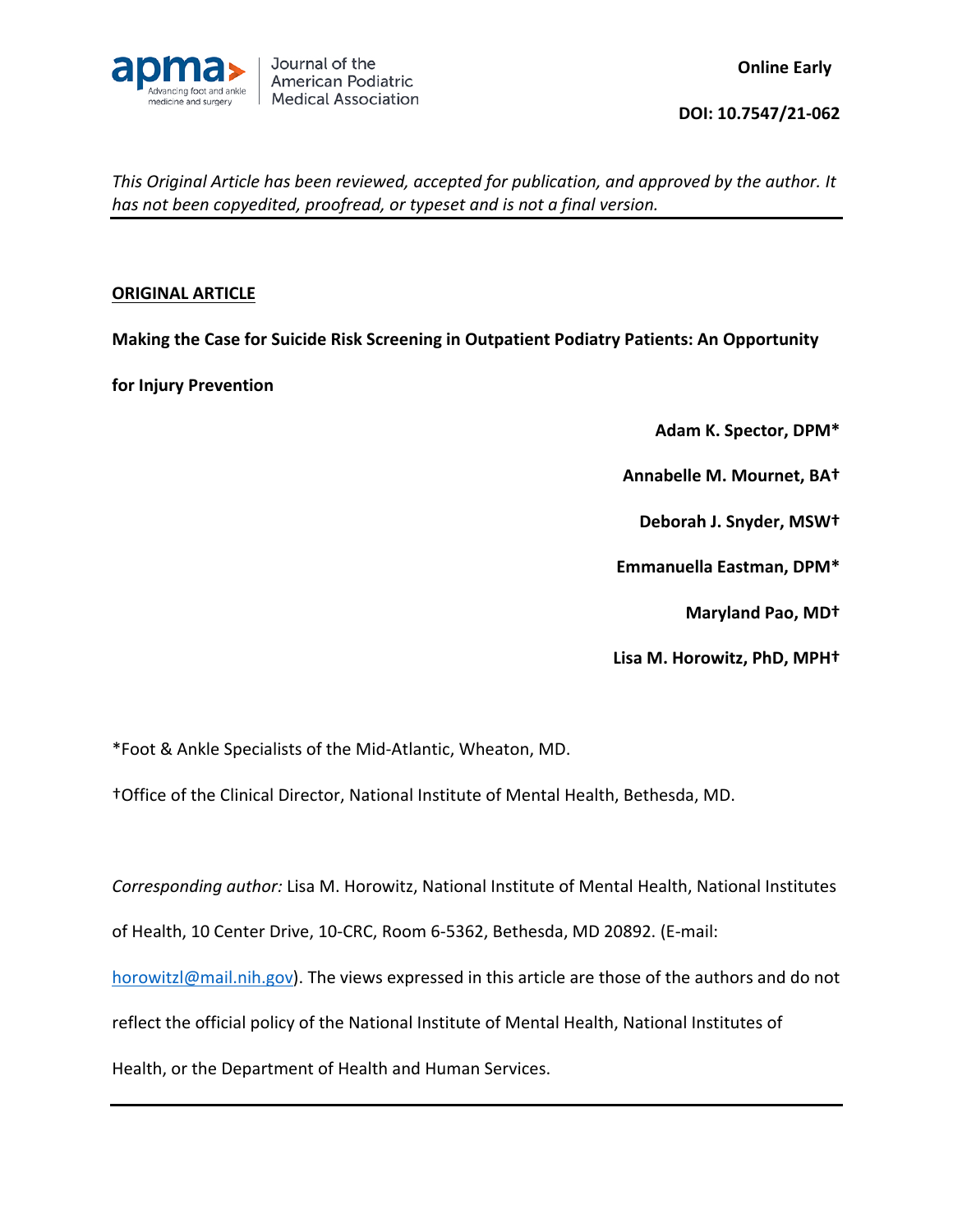

## **ORIGINAL ARTICLE**

**Making the Case for Suicide Risk Screening in Outpatient Podiatry Patients: An Opportunity** 

**for Injury Prevention**

**Adam K. Spector, DPM\***

**Annabelle M. Mournet, BA†**

**Deborah J. Snyder, MSW†**

**Emmanuella Eastman, DPM\***

**Maryland Pao, MD†**

**Lisa M. Horowitz, PhD, MPH†**

\*Foot & Ankle Specialists of the Mid-Atlantic, Wheaton, MD.

†Office of the Clinical Director, National Institute of Mental Health, Bethesda, MD.

*Corresponding author:* Lisa M. Horowitz, National Institute of Mental Health, National Institutes

of Health, 10 Center Drive, 10-CRC, Room 6-5362, Bethesda, MD 20892. (E-mail:

[horowitzl@mail.nih.gov\)](mailto:horowitzl@mail.nih.gov). The views expressed in this article are those of the authors and do not

reflect the official policy of the National Institute of Mental Health, National Institutes of

Health, or the Department of Health and Human Services.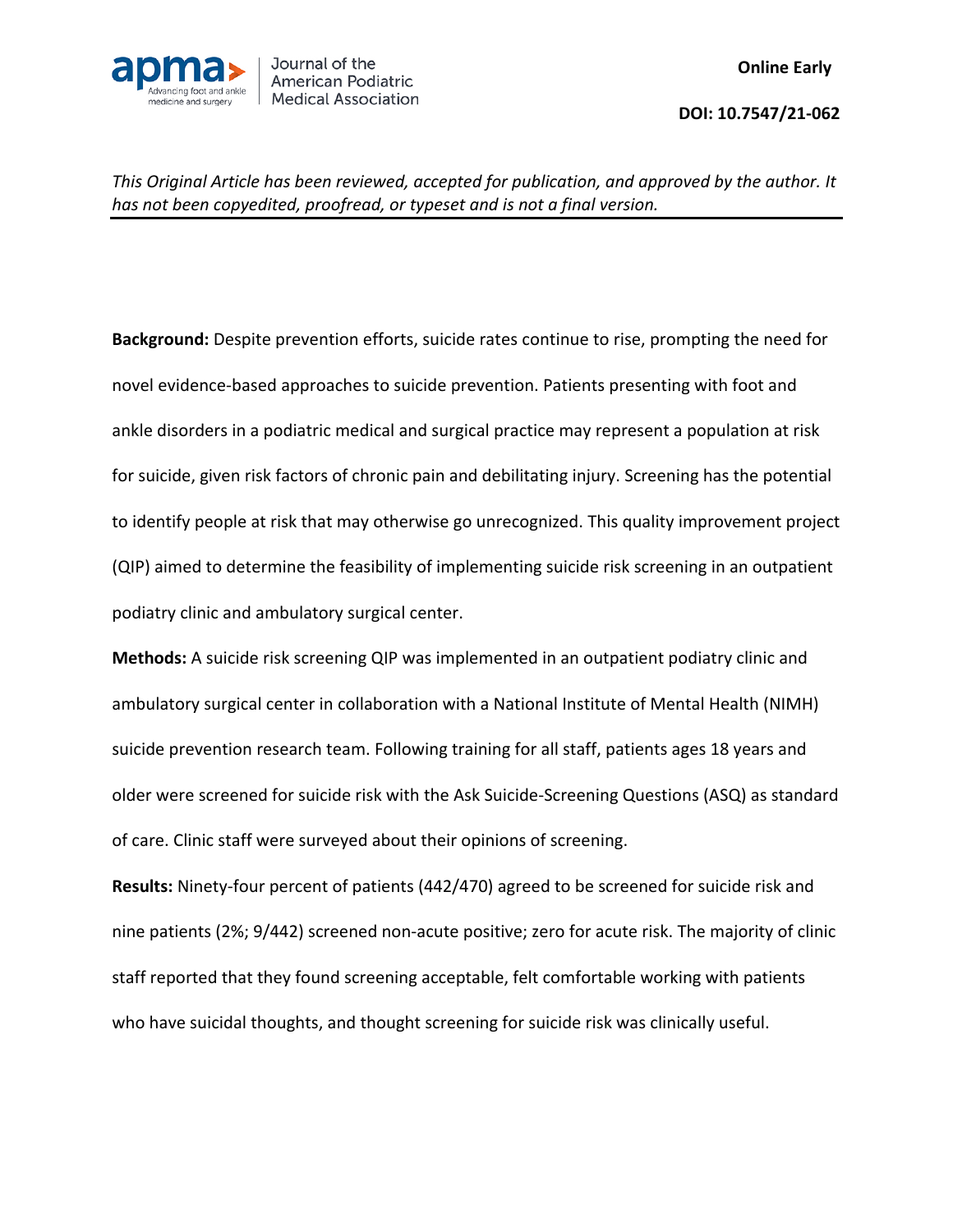

**Background:** Despite prevention efforts, suicide rates continue to rise, prompting the need for novel evidence-based approaches to suicide prevention. Patients presenting with foot and ankle disorders in a podiatric medical and surgical practice may represent a population at risk for suicide, given risk factors of chronic pain and debilitating injury. Screening has the potential to identify people at risk that may otherwise go unrecognized. This quality improvement project (QIP) aimed to determine the feasibility of implementing suicide risk screening in an outpatient podiatry clinic and ambulatory surgical center.

**Methods:** A suicide risk screening QIP was implemented in an outpatient podiatry clinic and ambulatory surgical center in collaboration with a National Institute of Mental Health (NIMH) suicide prevention research team. Following training for all staff, patients ages 18 years and older were screened for suicide risk with the Ask Suicide-Screening Questions (ASQ) as standard of care. Clinic staff were surveyed about their opinions of screening.

**Results:** Ninety-four percent of patients (442/470) agreed to be screened for suicide risk and nine patients (2%; 9/442) screened non-acute positive; zero for acute risk. The majority of clinic staff reported that they found screening acceptable, felt comfortable working with patients who have suicidal thoughts, and thought screening for suicide risk was clinically useful.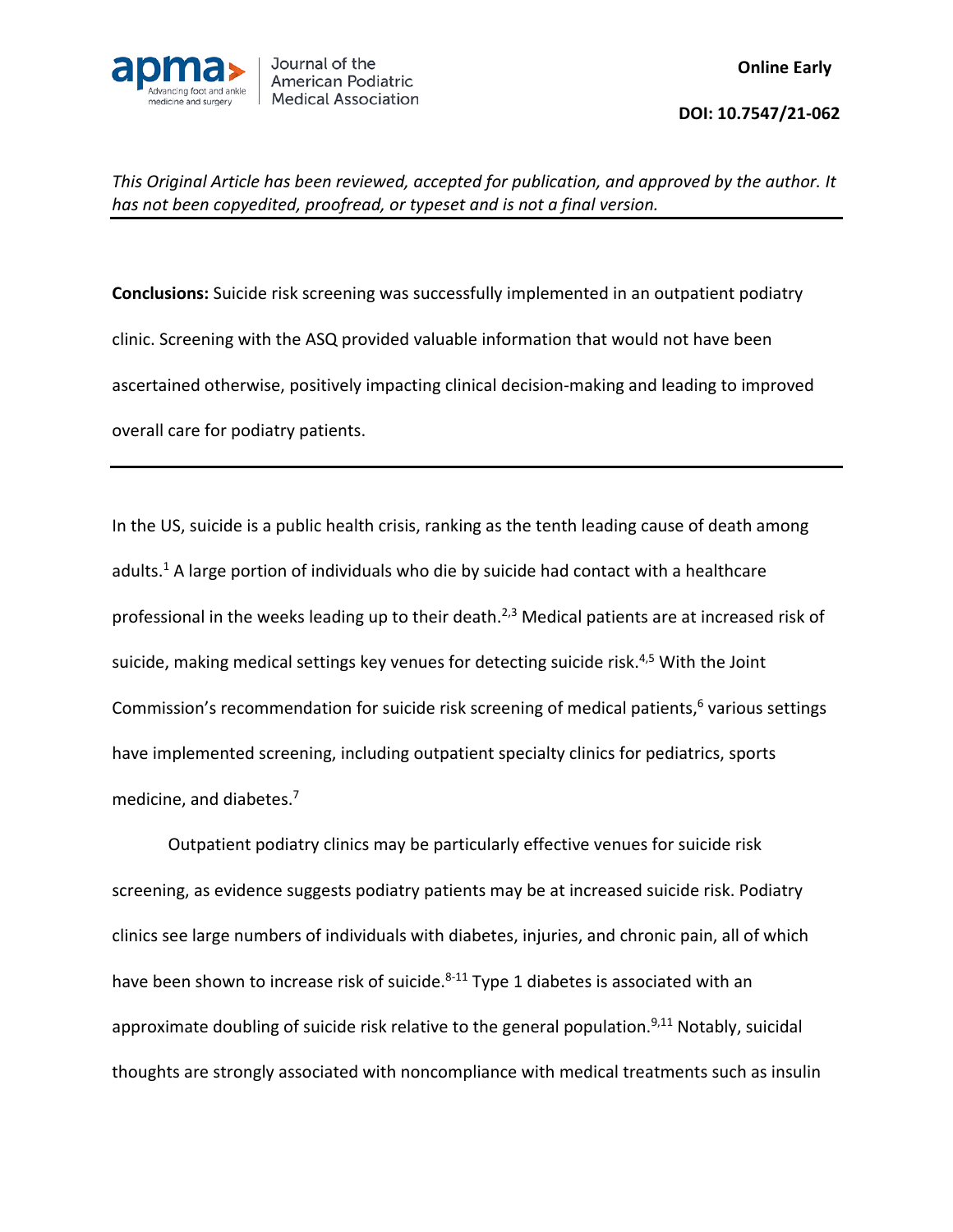

**Conclusions:** Suicide risk screening was successfully implemented in an outpatient podiatry clinic. Screening with the ASQ provided valuable information that would not have been ascertained otherwise, positively impacting clinical decision-making and leading to improved overall care for podiatry patients.

In the US, suicide is a public health crisis, ranking as the tenth leading cause of death among adults. <sup>1</sup> A large portion of individuals who die by suicide had contact with a healthcare professional in the weeks leading up to their death.<sup>2,3</sup> Medical patients are at increased risk of suicide, making medical settings key venues for detecting suicide risk.<sup>4,5</sup> With the Joint Commission's recommendation for suicide risk screening of medical patients,<sup>6</sup> various settings have implemented screening, including outpatient specialty clinics for pediatrics, sports medicine, and diabetes.<sup>7</sup>

Outpatient podiatry clinics may be particularly effective venues for suicide risk screening, as evidence suggests podiatry patients may be at increased suicide risk. Podiatry clinics see large numbers of individuals with diabetes, injuries, and chronic pain, all of which have been shown to increase risk of suicide.<sup>8-11</sup> Type 1 diabetes is associated with an approximate doubling of suicide risk relative to the general population.<sup>9,11</sup> Notably, suicidal thoughts are strongly associated with noncompliance with medical treatments such as insulin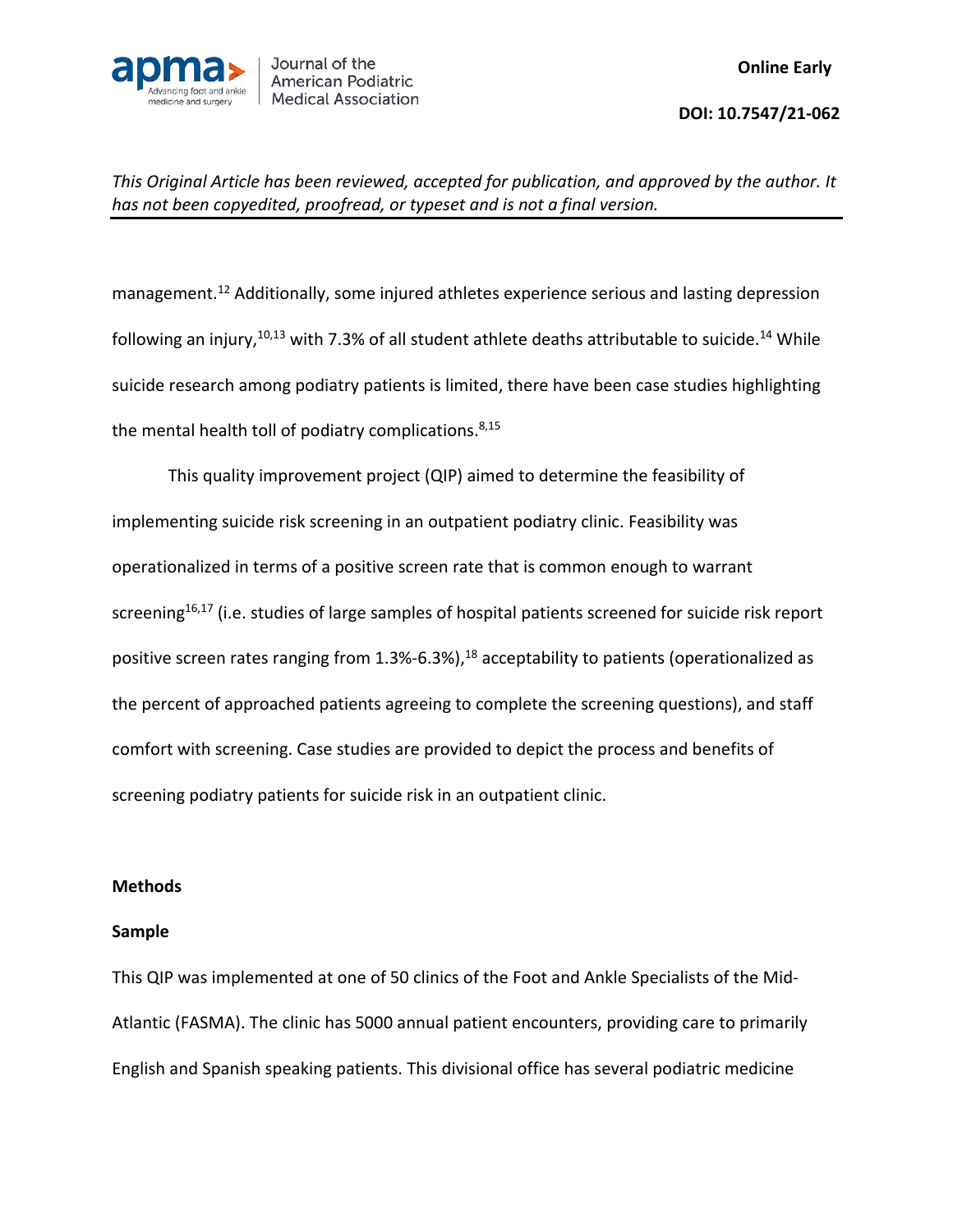

management.<sup>12</sup> Additionally, some injured athletes experience serious and lasting depression following an injury,<sup>10,13</sup> with 7.3% of all student athlete deaths attributable to suicide.<sup>14</sup> While suicide research among podiatry patients is limited, there have been case studies highlighting the mental health toll of podiatry complications. 8,15

This quality improvement project (QIP) aimed to determine the feasibility of implementing suicide risk screening in an outpatient podiatry clinic. Feasibility was operationalized in terms of a positive screen rate that is common enough to warrant screening<sup>16,17</sup> (i.e. studies of large samples of hospital patients screened for suicide risk report positive screen rates ranging from 1.3%-6.3%),<sup>18</sup> acceptability to patients (operationalized as the percent of approached patients agreeing to complete the screening questions), and staff comfort with screening. Case studies are provided to depict the process and benefits of screening podiatry patients for suicide risk in an outpatient clinic.

### **Methods**

### **Sample**

This QIP was implemented at one of 50 clinics of the Foot and Ankle Specialists of the Mid-Atlantic (FASMA). The clinic has 5000 annual patient encounters, providing care to primarily English and Spanish speaking patients. This divisional office has several podiatric medicine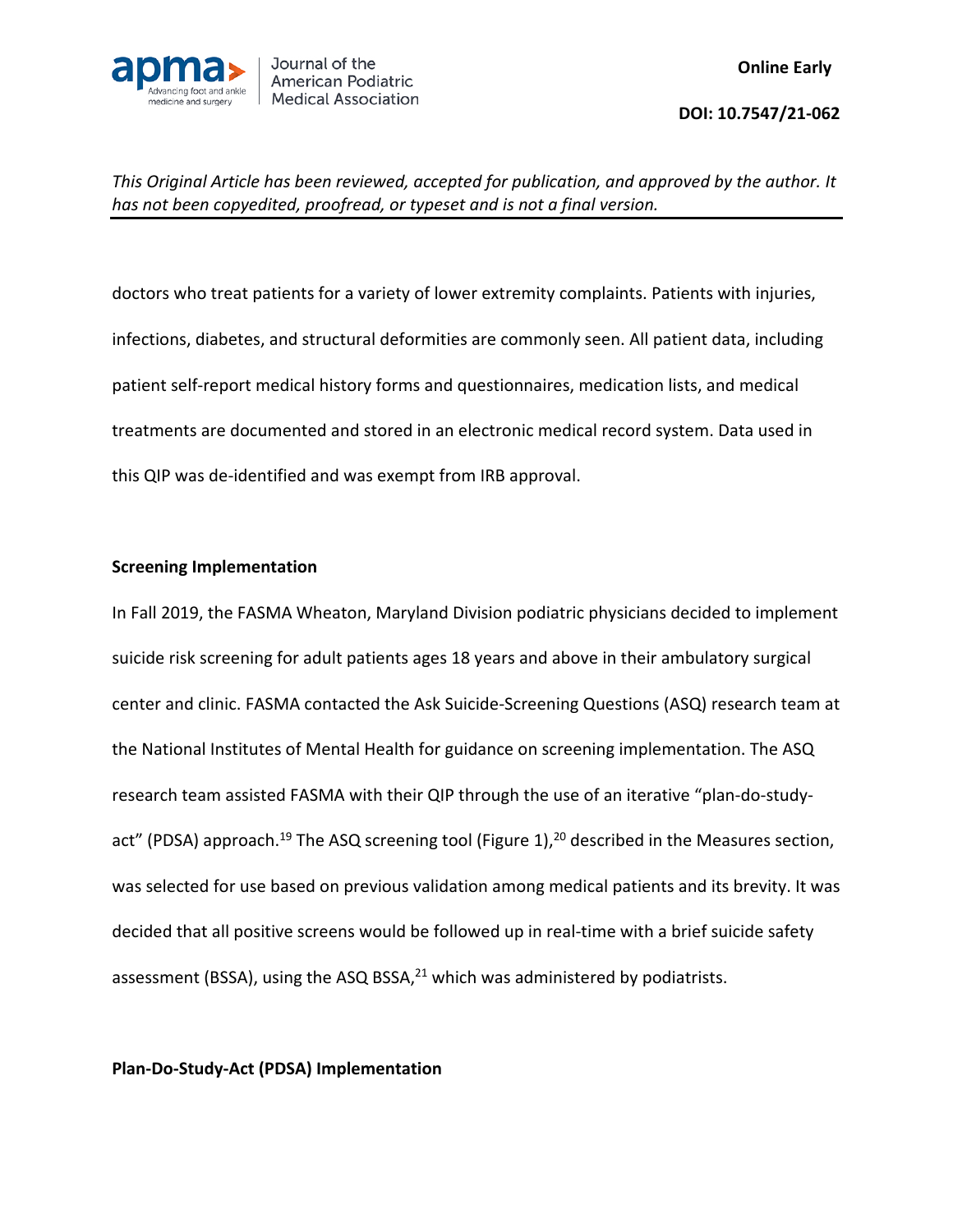

doctors who treat patients for a variety of lower extremity complaints. Patients with injuries, infections, diabetes, and structural deformities are commonly seen. All patient data, including patient self-report medical history forms and questionnaires, medication lists, and medical treatments are documented and stored in an electronic medical record system. Data used in this QIP was de-identified and was exempt from IRB approval.

### **Screening Implementation**

In Fall 2019, the FASMA Wheaton, Maryland Division podiatric physicians decided to implement suicide risk screening for adult patients ages 18 years and above in their ambulatory surgical center and clinic. FASMA contacted the Ask Suicide-Screening Questions (ASQ) research team at the National Institutes of Mental Health for guidance on screening implementation. The ASQ research team assisted FASMA with their QIP through the use of an iterative "plan-do-studyact" (PDSA) approach.<sup>19</sup> The ASQ screening tool (Figure 1),<sup>20</sup> described in the Measures section, was selected for use based on previous validation among medical patients and its brevity. It was decided that all positive screens would be followed up in real-time with a brief suicide safety assessment (BSSA), using the ASQ BSSA, $^{21}$  which was administered by podiatrists.

### **Plan-Do-Study-Act (PDSA) Implementation**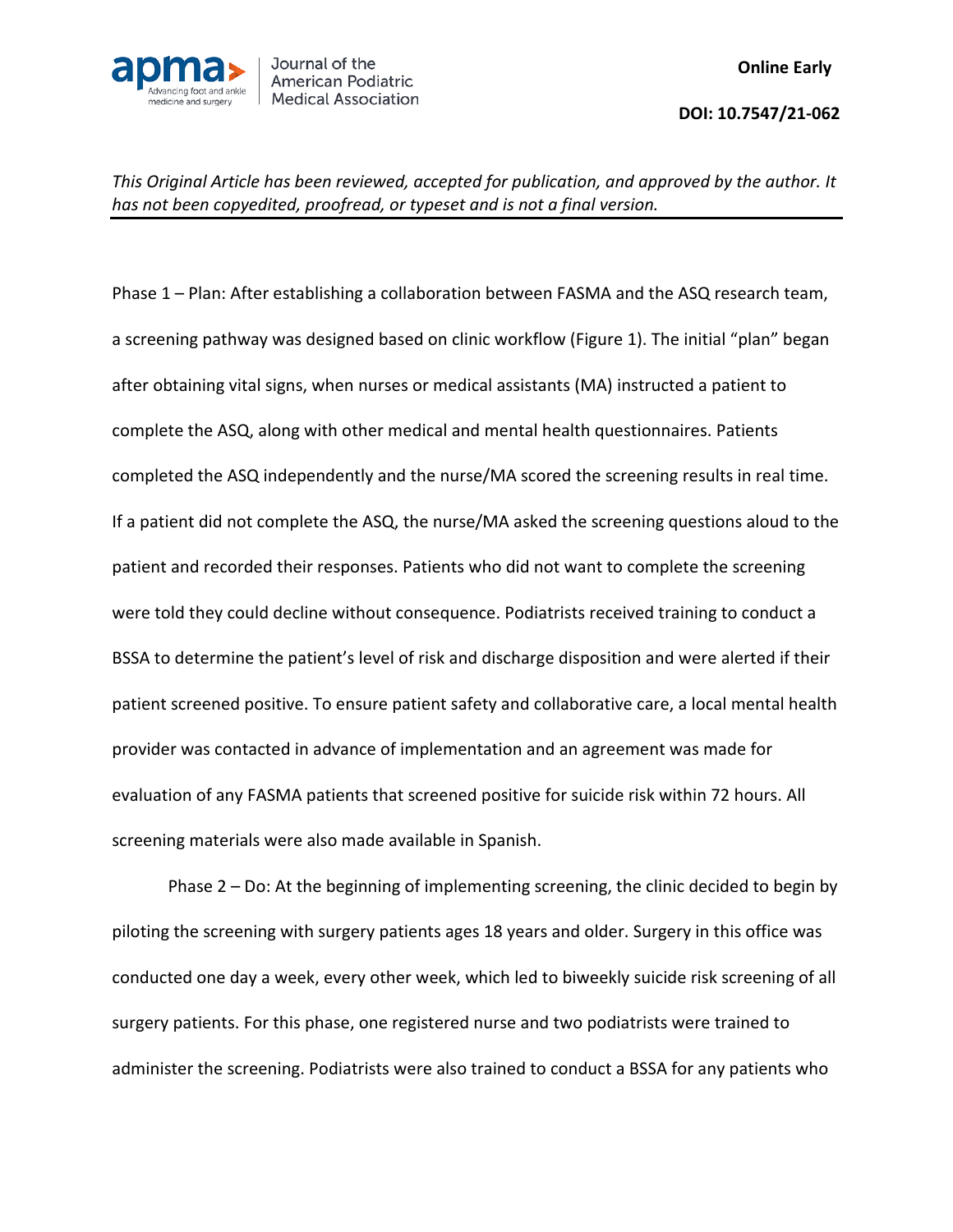

Phase 1 – Plan: After establishing a collaboration between FASMA and the ASQ research team, a screening pathway was designed based on clinic workflow (Figure 1). The initial "plan" began after obtaining vital signs, when nurses or medical assistants (MA) instructed a patient to complete the ASQ, along with other medical and mental health questionnaires. Patients completed the ASQ independently and the nurse/MA scored the screening results in real time. If a patient did not complete the ASQ, the nurse/MA asked the screening questions aloud to the patient and recorded their responses. Patients who did not want to complete the screening were told they could decline without consequence. Podiatrists received training to conduct a BSSA to determine the patient's level of risk and discharge disposition and were alerted if their patient screened positive. To ensure patient safety and collaborative care, a local mental health provider was contacted in advance of implementation and an agreement was made for evaluation of any FASMA patients that screened positive for suicide risk within 72 hours. All screening materials were also made available in Spanish.

Phase 2 – Do: At the beginning of implementing screening, the clinic decided to begin by piloting the screening with surgery patients ages 18 years and older. Surgery in this office was conducted one day a week, every other week, which led to biweekly suicide risk screening of all surgery patients. For this phase, one registered nurse and two podiatrists were trained to administer the screening. Podiatrists were also trained to conduct a BSSA for any patients who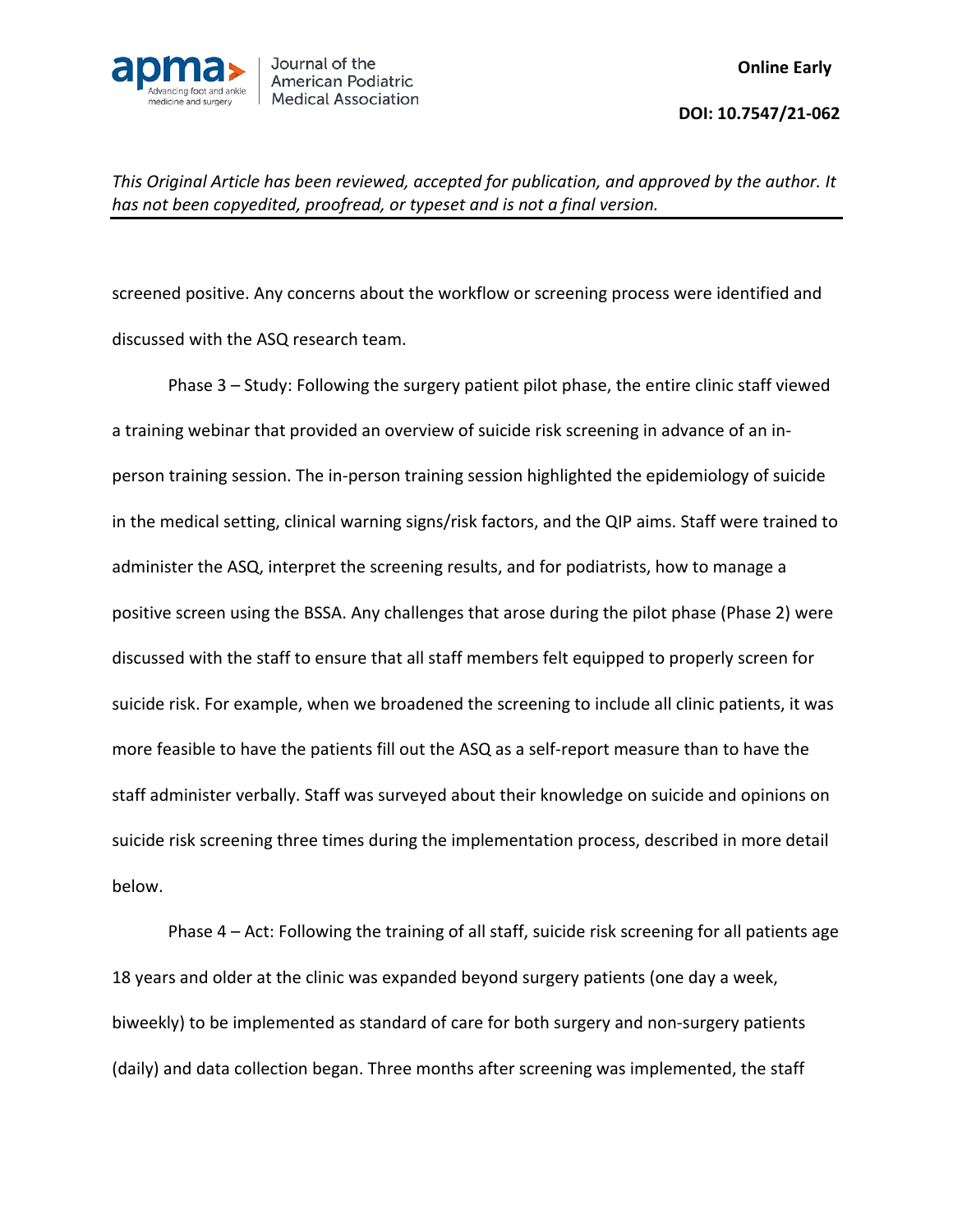

screened positive. Any concerns about the workflow or screening process were identified and discussed with the ASQ research team.

Phase 3 – Study: Following the surgery patient pilot phase, the entire clinic staff viewed a training webinar that provided an overview of suicide risk screening in advance of an inperson training session. The in-person training session highlighted the epidemiology of suicide in the medical setting, clinical warning signs/risk factors, and the QIP aims. Staff were trained to administer the ASQ, interpret the screening results, and for podiatrists, how to manage a positive screen using the BSSA. Any challenges that arose during the pilot phase (Phase 2) were discussed with the staff to ensure that all staff members felt equipped to properly screen for suicide risk. For example, when we broadened the screening to include all clinic patients, it was more feasible to have the patients fill out the ASQ as a self-report measure than to have the staff administer verbally. Staff was surveyed about their knowledge on suicide and opinions on suicide risk screening three times during the implementation process, described in more detail below.

Phase 4 – Act: Following the training of all staff, suicide risk screening for all patients age 18 years and older at the clinic was expanded beyond surgery patients (one day a week, biweekly) to be implemented as standard of care for both surgery and non-surgery patients (daily) and data collection began. Three months after screening was implemented, the staff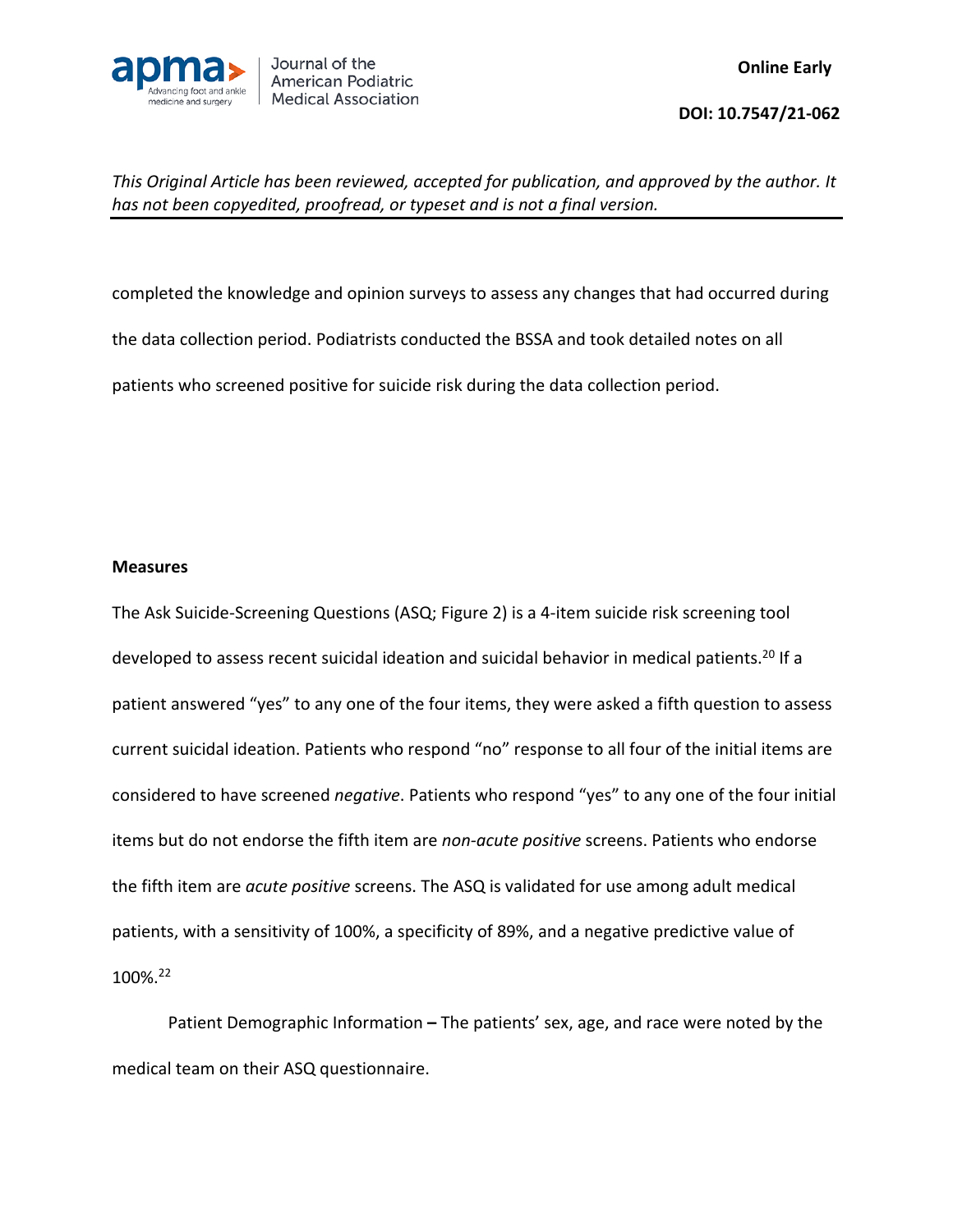

completed the knowledge and opinion surveys to assess any changes that had occurred during the data collection period. Podiatrists conducted the BSSA and took detailed notes on all patients who screened positive for suicide risk during the data collection period.

#### **Measures**

The Ask Suicide-Screening Questions (ASQ; Figure 2) is a 4-item suicide risk screening tool developed to assess recent suicidal ideation and suicidal behavior in medical patients.<sup>20</sup> If a patient answered "yes" to any one of the four items, they were asked a fifth question to assess current suicidal ideation. Patients who respond "no" response to all four of the initial items are considered to have screened *negative*. Patients who respond "yes" to any one of the four initial items but do not endorse the fifth item are *non-acute positive* screens. Patients who endorse the fifth item are *acute positive* screens. The ASQ is validated for use among adult medical patients, with a sensitivity of 100%, a specificity of 89%, and a negative predictive value of 100%.22

Patient Demographic Information **–** The patients' sex, age, and race were noted by the medical team on their ASQ questionnaire.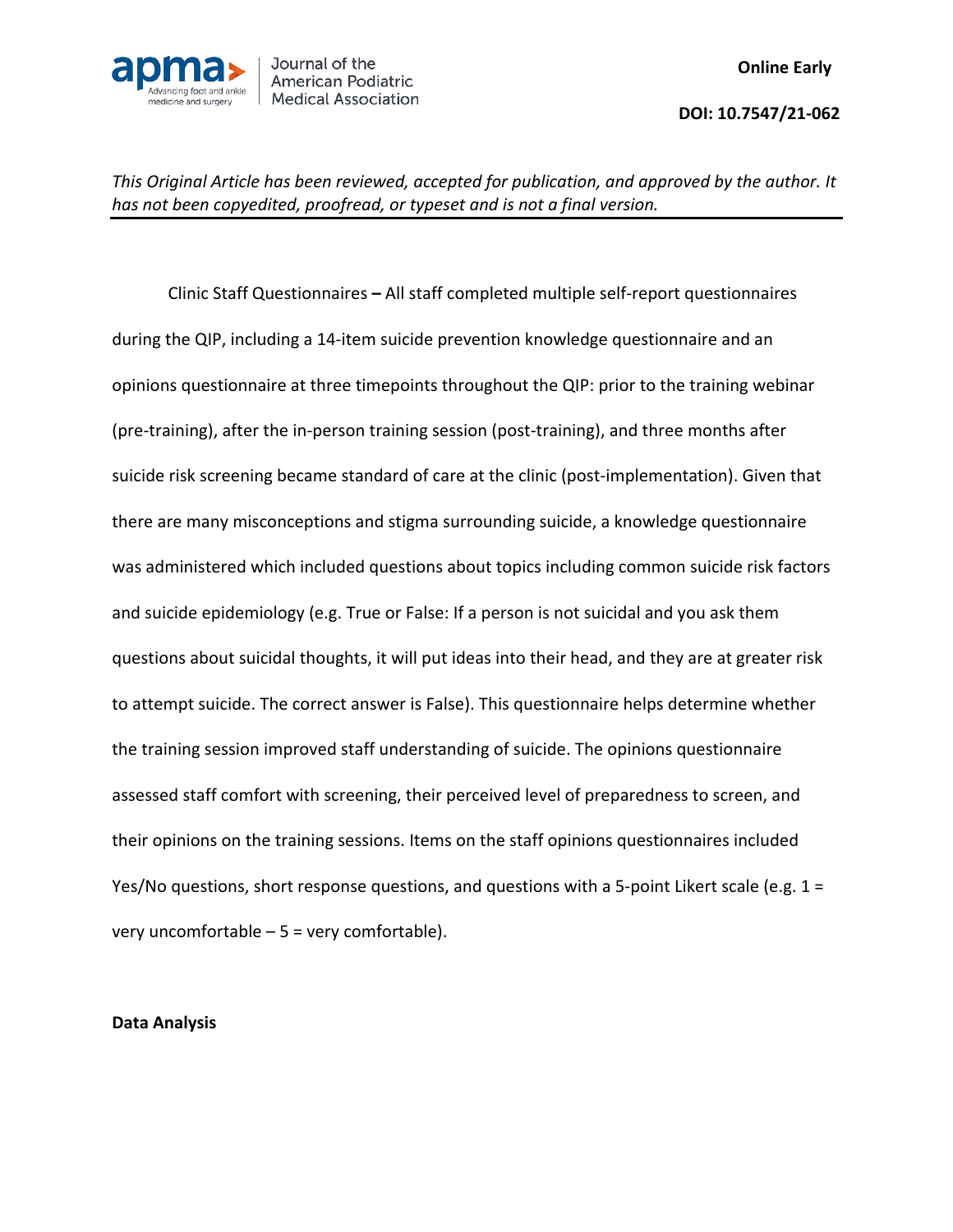

Clinic Staff Questionnaires **–** All staff completed multiple self-report questionnaires during the QIP, including a 14-item suicide prevention knowledge questionnaire and an opinions questionnaire at three timepoints throughout the QIP: prior to the training webinar (pre-training), after the in-person training session (post-training), and three months after suicide risk screening became standard of care at the clinic (post-implementation). Given that there are many misconceptions and stigma surrounding suicide, a knowledge questionnaire was administered which included questions about topics including common suicide risk factors and suicide epidemiology (e.g. True or False: If a person is not suicidal and you ask them questions about suicidal thoughts, it will put ideas into their head, and they are at greater risk to attempt suicide. The correct answer is False). This questionnaire helps determine whether the training session improved staff understanding of suicide. The opinions questionnaire assessed staff comfort with screening, their perceived level of preparedness to screen, and their opinions on the training sessions. Items on the staff opinions questionnaires included Yes/No questions, short response questions, and questions with a 5-point Likert scale (e.g.  $1 =$ very uncomfortable – 5 = very comfortable).

### **Data Analysis**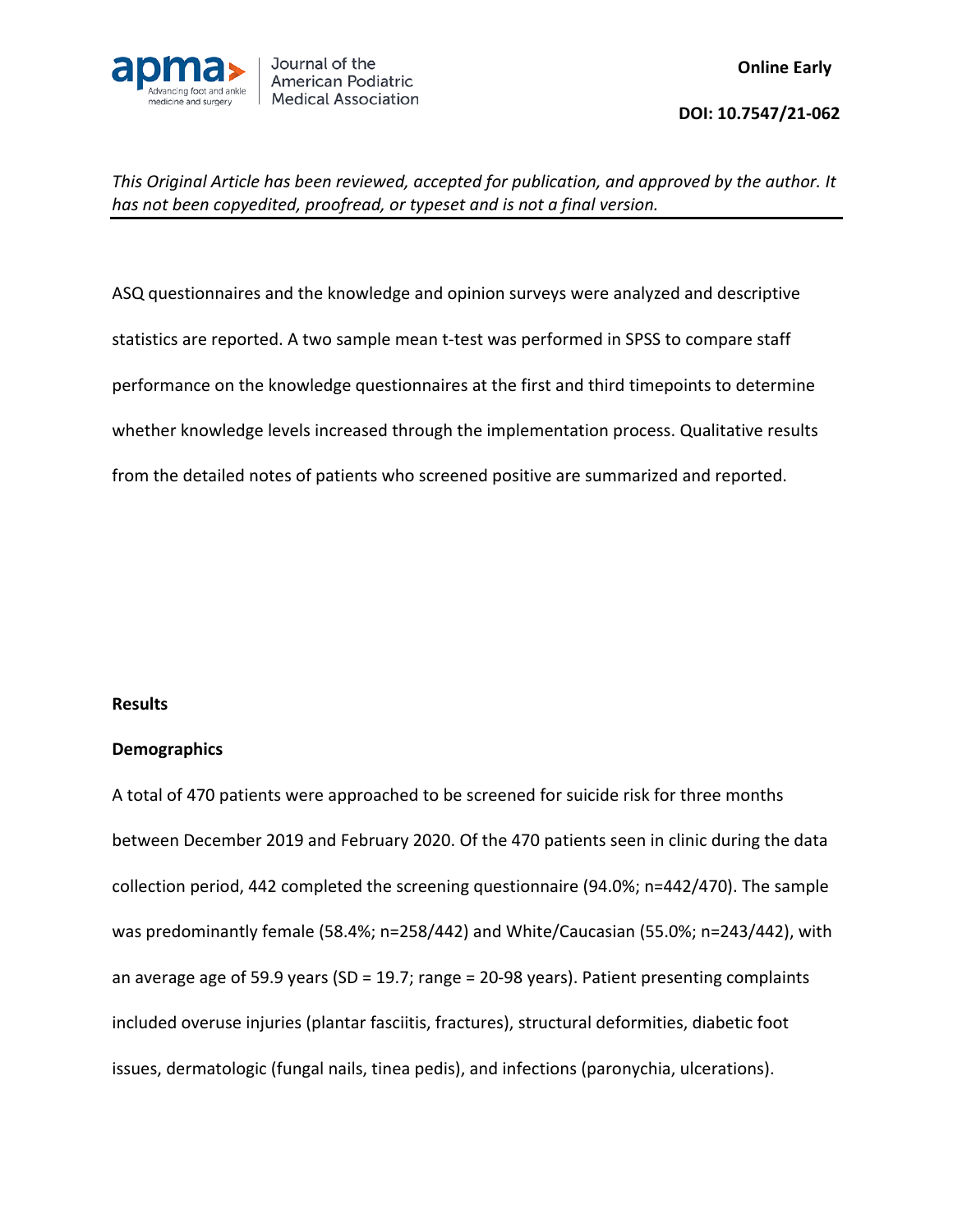

ASQ questionnaires and the knowledge and opinion surveys were analyzed and descriptive statistics are reported. A two sample mean t-test was performed in SPSS to compare staff performance on the knowledge questionnaires at the first and third timepoints to determine whether knowledge levels increased through the implementation process. Qualitative results from the detailed notes of patients who screened positive are summarized and reported.

### **Results**

### **Demographics**

A total of 470 patients were approached to be screened for suicide risk for three months between December 2019 and February 2020. Of the 470 patients seen in clinic during the data collection period, 442 completed the screening questionnaire (94.0%; n=442/470). The sample was predominantly female (58.4%; n=258/442) and White/Caucasian (55.0%; n=243/442), with an average age of 59.9 years (SD = 19.7; range = 20-98 years). Patient presenting complaints included overuse injuries (plantar fasciitis, fractures), structural deformities, diabetic foot issues, dermatologic (fungal nails, tinea pedis), and infections (paronychia, ulcerations).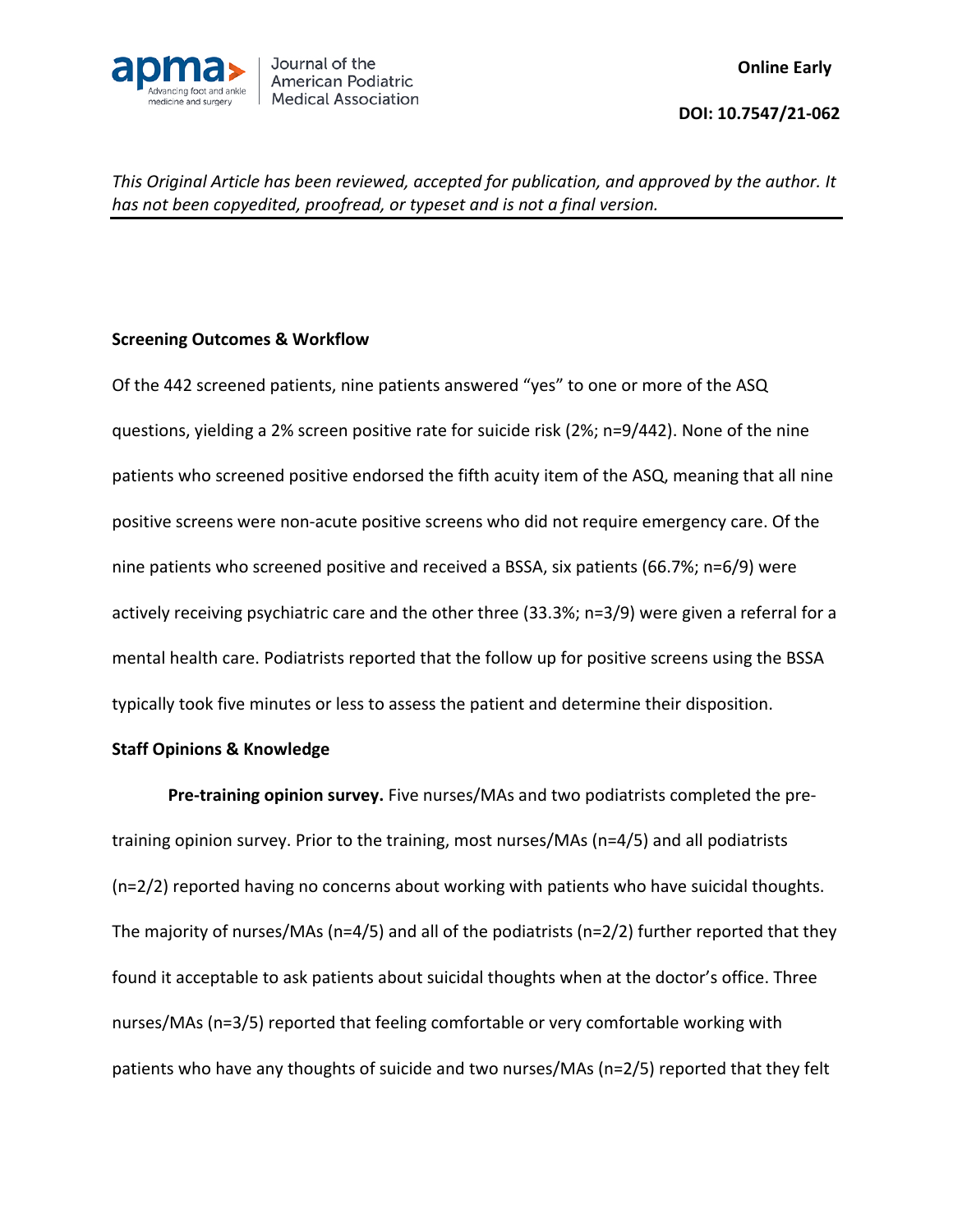

## **Screening Outcomes & Workflow**

Of the 442 screened patients, nine patients answered "yes" to one or more of the ASQ questions, yielding a 2% screen positive rate for suicide risk (2%; n=9/442). None of the nine patients who screened positive endorsed the fifth acuity item of the ASQ, meaning that all nine positive screens were non-acute positive screens who did not require emergency care. Of the nine patients who screened positive and received a BSSA, six patients (66.7%; n=6/9) were actively receiving psychiatric care and the other three (33.3%; n=3/9) were given a referral for a mental health care. Podiatrists reported that the follow up for positive screens using the BSSA typically took five minutes or less to assess the patient and determine their disposition.

## **Staff Opinions & Knowledge**

**Pre-training opinion survey.** Five nurses/MAs and two podiatrists completed the pretraining opinion survey. Prior to the training, most nurses/MAs (n=4/5) and all podiatrists (n=2/2) reported having no concerns about working with patients who have suicidal thoughts. The majority of nurses/MAs (n=4/5) and all of the podiatrists (n=2/2) further reported that they found it acceptable to ask patients about suicidal thoughts when at the doctor's office. Three nurses/MAs (n=3/5) reported that feeling comfortable or very comfortable working with patients who have any thoughts of suicide and two nurses/MAs (n=2/5) reported that they felt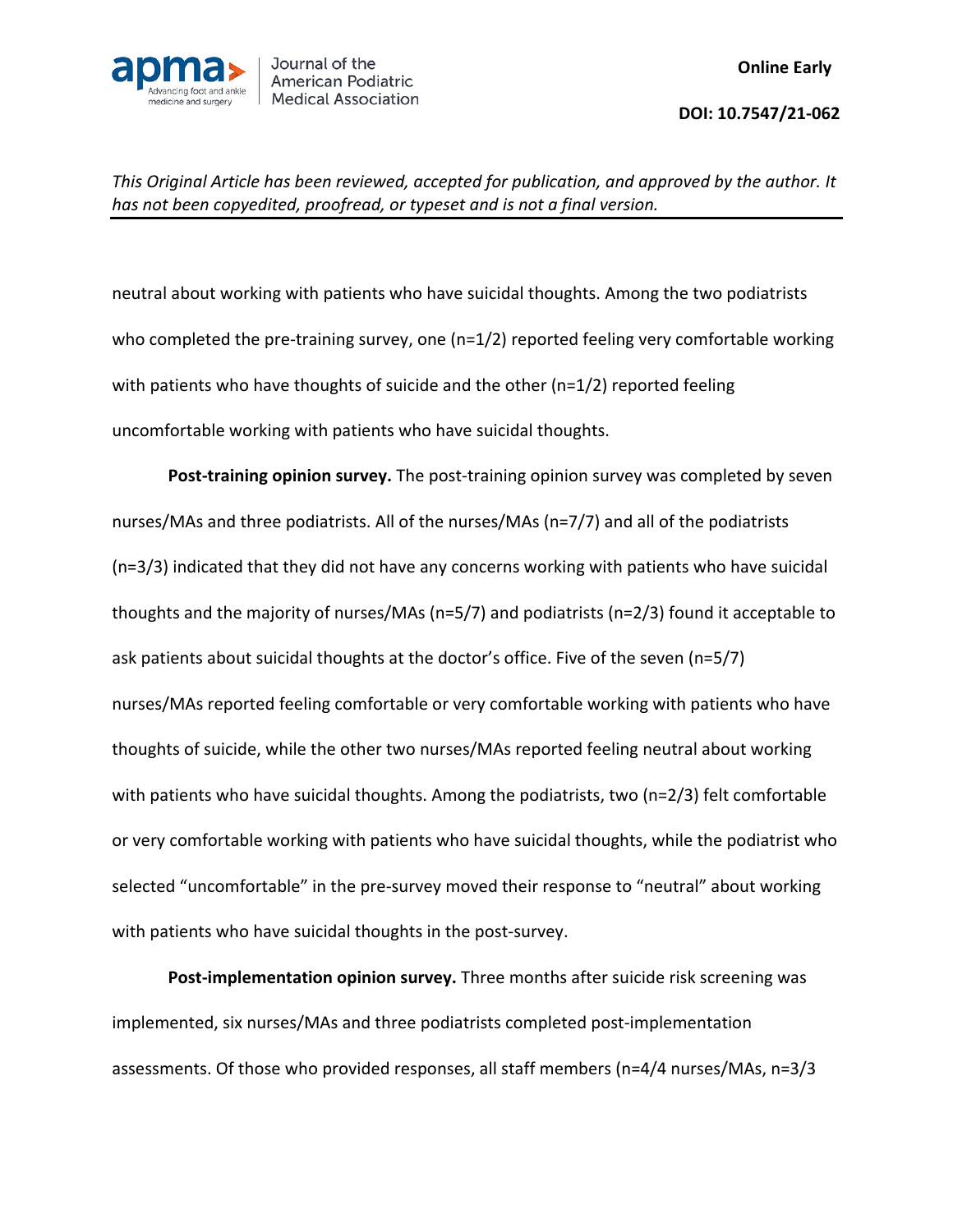

neutral about working with patients who have suicidal thoughts. Among the two podiatrists who completed the pre-training survey, one (n=1/2) reported feeling very comfortable working with patients who have thoughts of suicide and the other (n=1/2) reported feeling uncomfortable working with patients who have suicidal thoughts.

**Post-training opinion survey.** The post-training opinion survey was completed by seven nurses/MAs and three podiatrists. All of the nurses/MAs (n=7/7) and all of the podiatrists (n=3/3) indicated that they did not have any concerns working with patients who have suicidal thoughts and the majority of nurses/MAs (n=5/7) and podiatrists (n=2/3) found it acceptable to ask patients about suicidal thoughts at the doctor's office. Five of the seven (n=5/7) nurses/MAs reported feeling comfortable or very comfortable working with patients who have thoughts of suicide, while the other two nurses/MAs reported feeling neutral about working with patients who have suicidal thoughts. Among the podiatrists, two (n=2/3) felt comfortable or very comfortable working with patients who have suicidal thoughts, while the podiatrist who selected "uncomfortable" in the pre-survey moved their response to "neutral" about working with patients who have suicidal thoughts in the post-survey.

**Post-implementation opinion survey.** Three months after suicide risk screening was implemented, six nurses/MAs and three podiatrists completed post-implementation assessments. Of those who provided responses, all staff members (n=4/4 nurses/MAs, n=3/3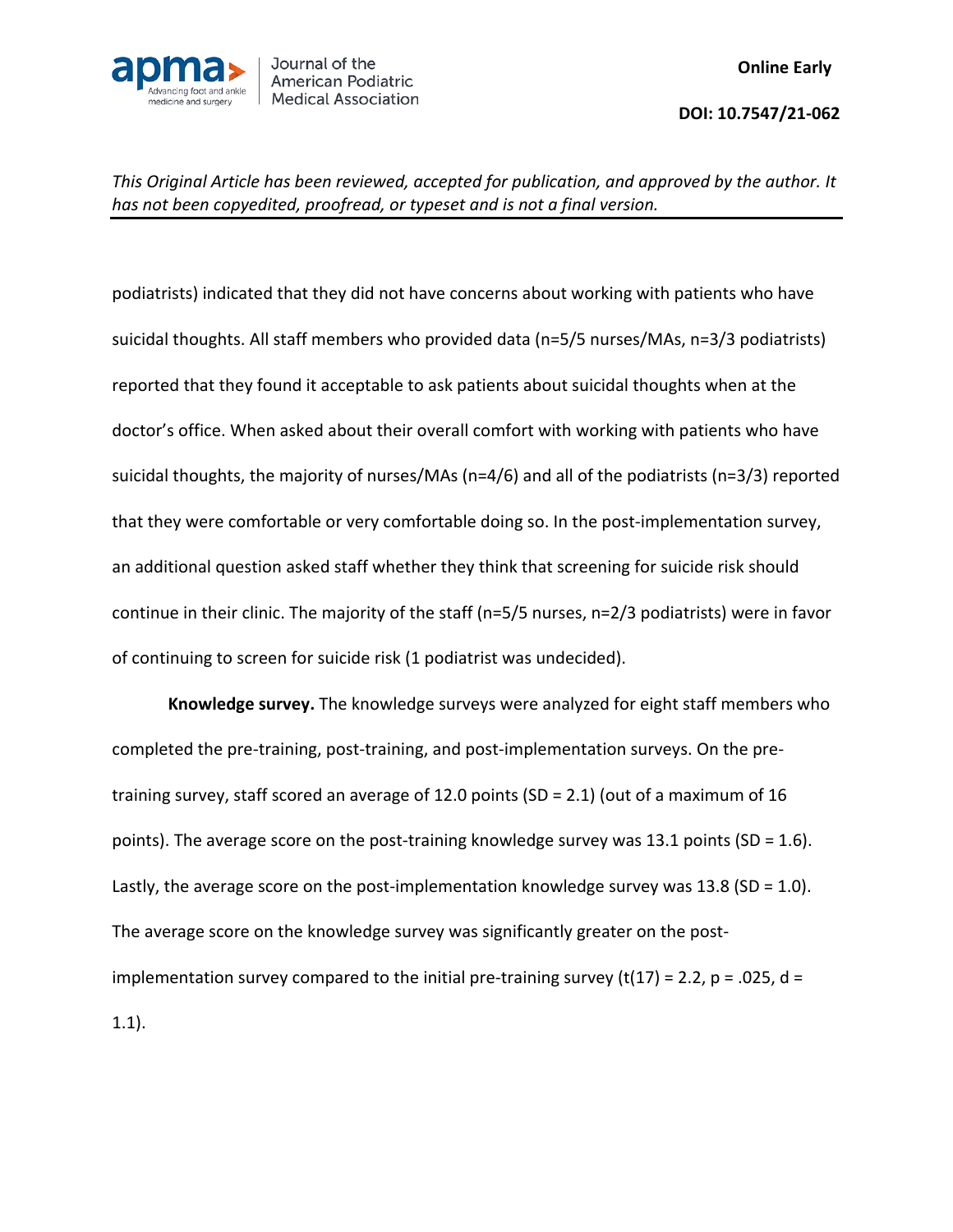

podiatrists) indicated that they did not have concerns about working with patients who have suicidal thoughts. All staff members who provided data (n=5/5 nurses/MAs, n=3/3 podiatrists) reported that they found it acceptable to ask patients about suicidal thoughts when at the doctor's office. When asked about their overall comfort with working with patients who have suicidal thoughts, the majority of nurses/MAs (n=4/6) and all of the podiatrists (n=3/3) reported that they were comfortable or very comfortable doing so. In the post-implementation survey, an additional question asked staff whether they think that screening for suicide risk should continue in their clinic. The majority of the staff (n=5/5 nurses, n=2/3 podiatrists) were in favor of continuing to screen for suicide risk (1 podiatrist was undecided).

**Knowledge survey.** The knowledge surveys were analyzed for eight staff members who completed the pre-training, post-training, and post-implementation surveys. On the pretraining survey, staff scored an average of 12.0 points (SD = 2.1) (out of a maximum of 16 points). The average score on the post-training knowledge survey was 13.1 points (SD = 1.6). Lastly, the average score on the post-implementation knowledge survey was  $13.8$  (SD = 1.0). The average score on the knowledge survey was significantly greater on the postimplementation survey compared to the initial pre-training survey (t(17) = 2.2, p = .025, d = 1.1).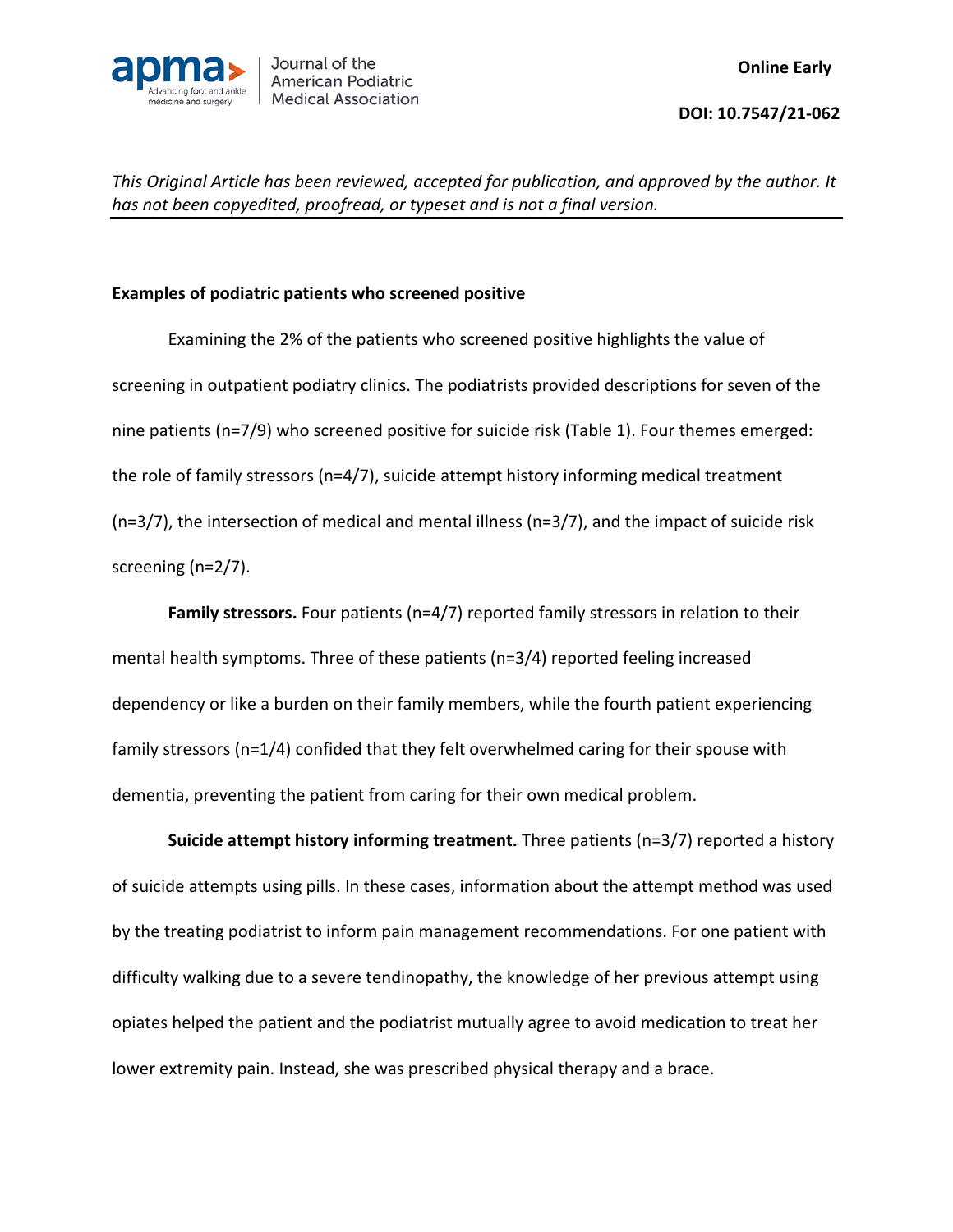

## **Examples of podiatric patients who screened positive**

Examining the 2% of the patients who screened positive highlights the value of screening in outpatient podiatry clinics. The podiatrists provided descriptions for seven of the nine patients (n=7/9) who screened positive for suicide risk (Table 1). Four themes emerged: the role of family stressors (n=4/7), suicide attempt history informing medical treatment (n=3/7), the intersection of medical and mental illness (n=3/7), and the impact of suicide risk screening (n=2/7).

Family stressors. Four patients (n=4/7) reported family stressors in relation to their mental health symptoms. Three of these patients (n=3/4) reported feeling increased dependency or like a burden on their family members, while the fourth patient experiencing family stressors (n=1/4) confided that they felt overwhelmed caring for their spouse with dementia, preventing the patient from caring for their own medical problem.

**Suicide attempt history informing treatment.** Three patients (n=3/7) reported a history of suicide attempts using pills. In these cases, information about the attempt method was used by the treating podiatrist to inform pain management recommendations. For one patient with difficulty walking due to a severe tendinopathy, the knowledge of her previous attempt using opiates helped the patient and the podiatrist mutually agree to avoid medication to treat her lower extremity pain. Instead, she was prescribed physical therapy and a brace.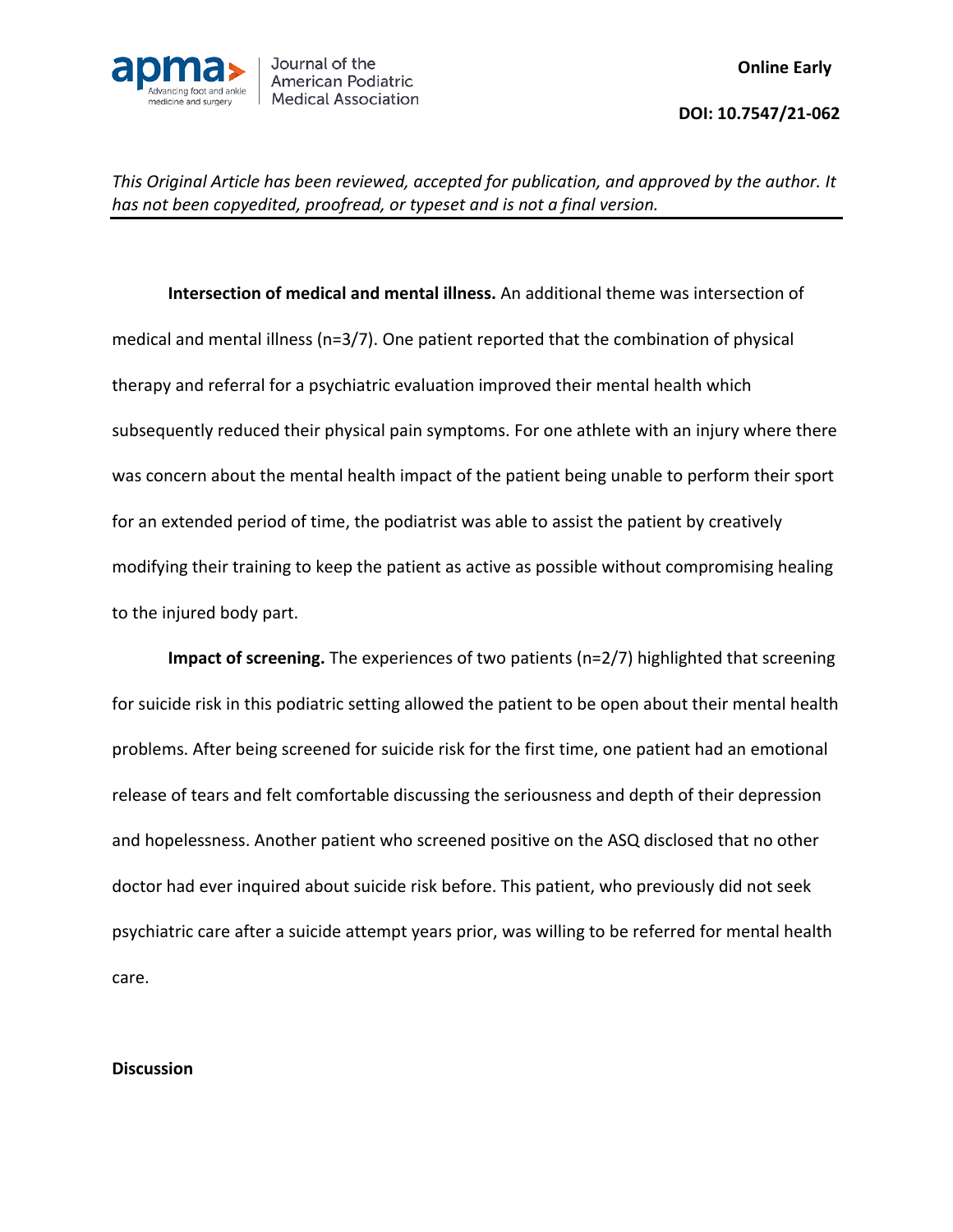

**Intersection of medical and mental illness.** An additional theme was intersection of medical and mental illness (n=3/7). One patient reported that the combination of physical therapy and referral for a psychiatric evaluation improved their mental health which subsequently reduced their physical pain symptoms. For one athlete with an injury where there was concern about the mental health impact of the patient being unable to perform their sport for an extended period of time, the podiatrist was able to assist the patient by creatively modifying their training to keep the patient as active as possible without compromising healing to the injured body part.

**Impact of screening.** The experiences of two patients (n=2/7) highlighted that screening for suicide risk in this podiatric setting allowed the patient to be open about their mental health problems. After being screened for suicide risk for the first time, one patient had an emotional release of tears and felt comfortable discussing the seriousness and depth of their depression and hopelessness. Another patient who screened positive on the ASQ disclosed that no other doctor had ever inquired about suicide risk before. This patient, who previously did not seek psychiatric care after a suicide attempt years prior, was willing to be referred for mental health care.

## **Discussion**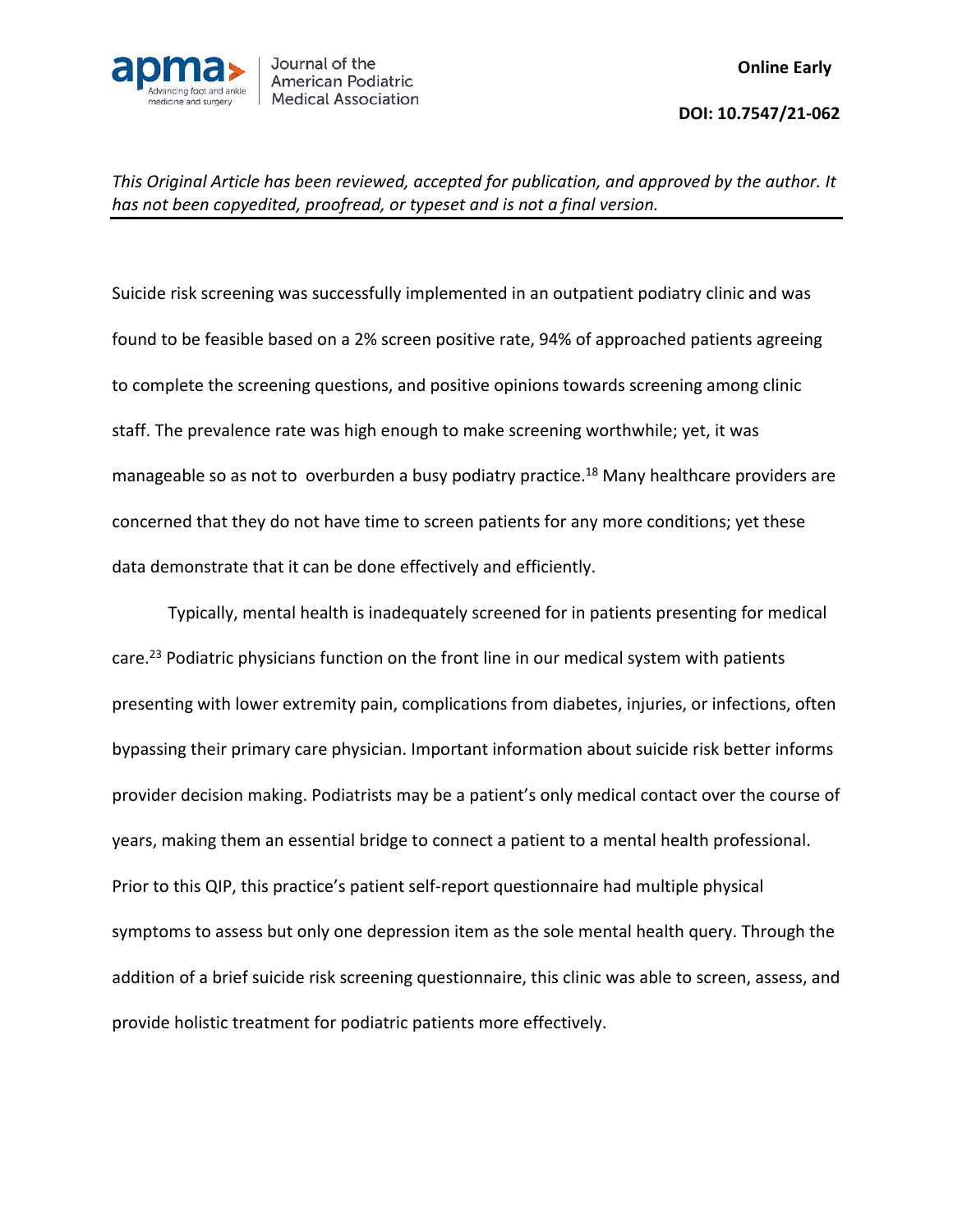

Suicide risk screening was successfully implemented in an outpatient podiatry clinic and was found to be feasible based on a 2% screen positive rate, 94% of approached patients agreeing to complete the screening questions, and positive opinions towards screening among clinic staff. The prevalence rate was high enough to make screening worthwhile; yet, it was manageable so as not to overburden a busy podiatry practice.<sup>18</sup> Many healthcare providers are concerned that they do not have time to screen patients for any more conditions; yet these data demonstrate that it can be done effectively and efficiently.

Typically, mental health is inadequately screened for in patients presenting for medical care.<sup>23</sup> Podiatric physicians function on the front line in our medical system with patients presenting with lower extremity pain, complications from diabetes, injuries, or infections, often bypassing their primary care physician. Important information about suicide risk better informs provider decision making. Podiatrists may be a patient's only medical contact over the course of years, making them an essential bridge to connect a patient to a mental health professional. Prior to this QIP, this practice's patient self-report questionnaire had multiple physical symptoms to assess but only one depression item as the sole mental health query. Through the addition of a brief suicide risk screening questionnaire, this clinic was able to screen, assess, and provide holistic treatment for podiatric patients more effectively.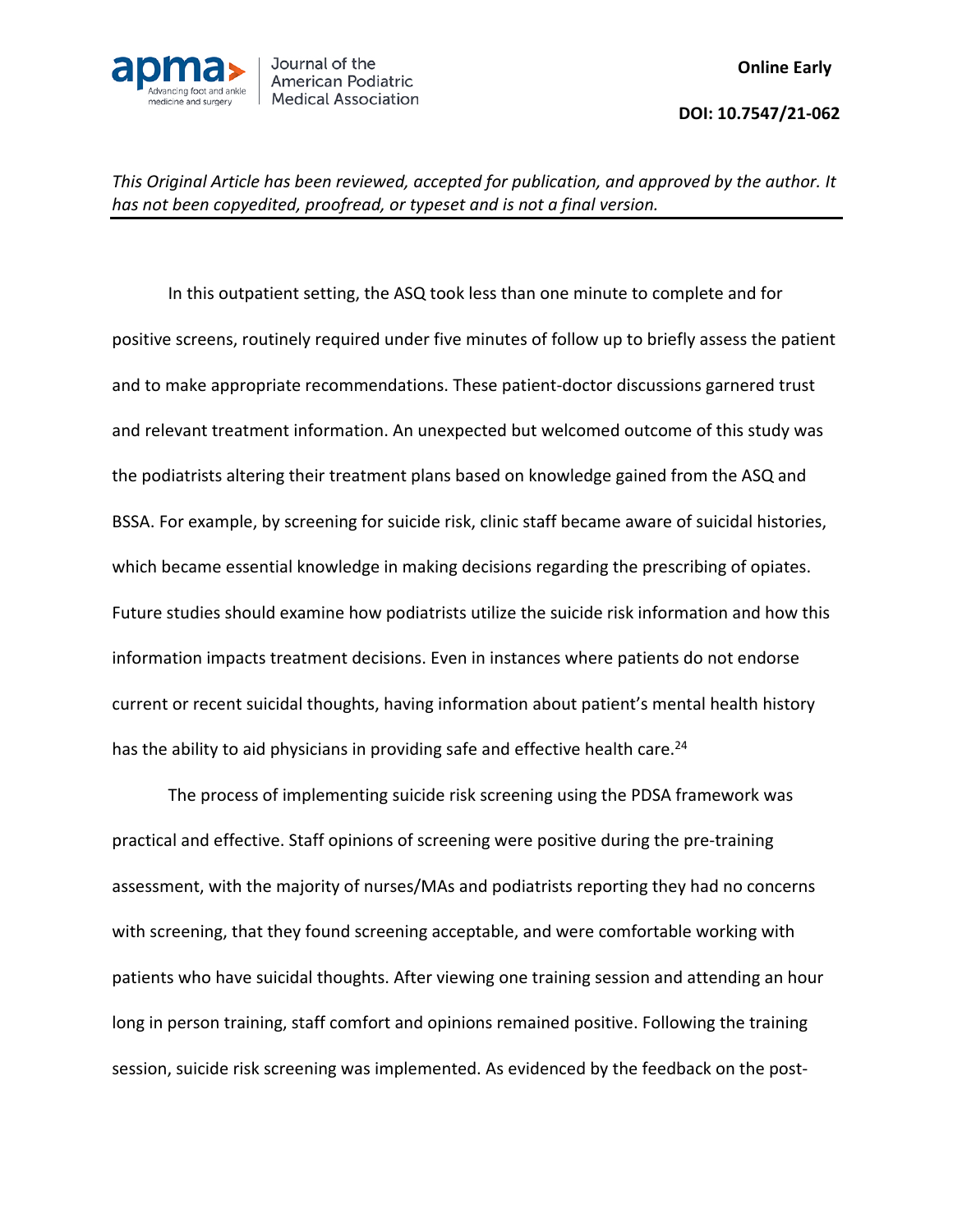

In this outpatient setting, the ASQ took less than one minute to complete and for positive screens, routinely required under five minutes of follow up to briefly assess the patient and to make appropriate recommendations. These patient-doctor discussions garnered trust and relevant treatment information. An unexpected but welcomed outcome of this study was the podiatrists altering their treatment plans based on knowledge gained from the ASQ and BSSA. For example, by screening for suicide risk, clinic staff became aware of suicidal histories, which became essential knowledge in making decisions regarding the prescribing of opiates. Future studies should examine how podiatrists utilize the suicide risk information and how this information impacts treatment decisions. Even in instances where patients do not endorse current or recent suicidal thoughts, having information about patient's mental health history has the ability to aid physicians in providing safe and effective health care.<sup>24</sup>

The process of implementing suicide risk screening using the PDSA framework was practical and effective. Staff opinions of screening were positive during the pre-training assessment, with the majority of nurses/MAs and podiatrists reporting they had no concerns with screening, that they found screening acceptable, and were comfortable working with patients who have suicidal thoughts. After viewing one training session and attending an hour long in person training, staff comfort and opinions remained positive. Following the training session, suicide risk screening was implemented. As evidenced by the feedback on the post-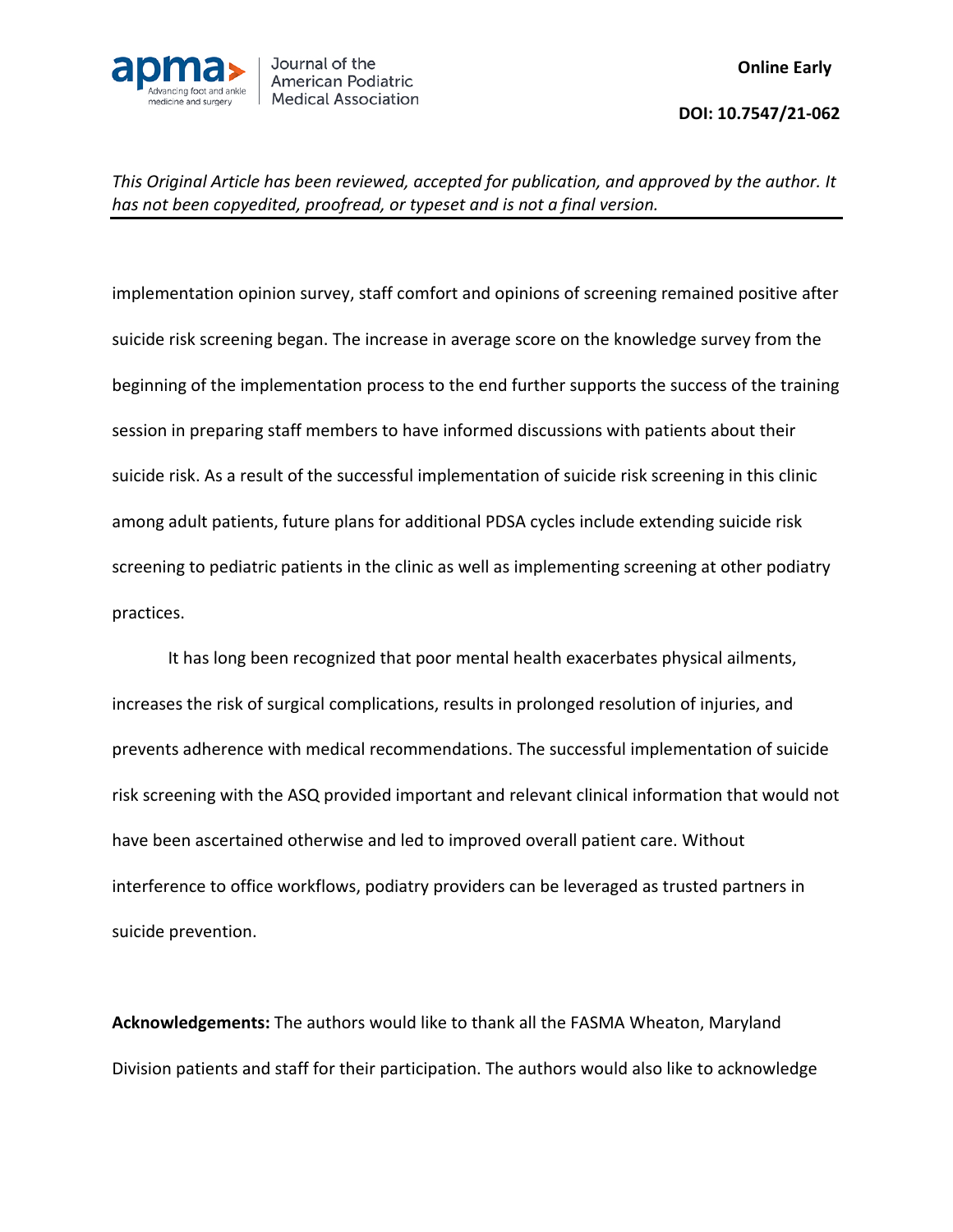

implementation opinion survey, staff comfort and opinions of screening remained positive after suicide risk screening began. The increase in average score on the knowledge survey from the beginning of the implementation process to the end further supports the success of the training session in preparing staff members to have informed discussions with patients about their suicide risk. As a result of the successful implementation of suicide risk screening in this clinic among adult patients, future plans for additional PDSA cycles include extending suicide risk screening to pediatric patients in the clinic as well as implementing screening at other podiatry practices.

It has long been recognized that poor mental health exacerbates physical ailments, increases the risk of surgical complications, results in prolonged resolution of injuries, and prevents adherence with medical recommendations. The successful implementation of suicide risk screening with the ASQ provided important and relevant clinical information that would not have been ascertained otherwise and led to improved overall patient care. Without interference to office workflows, podiatry providers can be leveraged as trusted partners in suicide prevention.

**Acknowledgements:** The authors would like to thank all the FASMA Wheaton, Maryland Division patients and staff for their participation. The authors would also like to acknowledge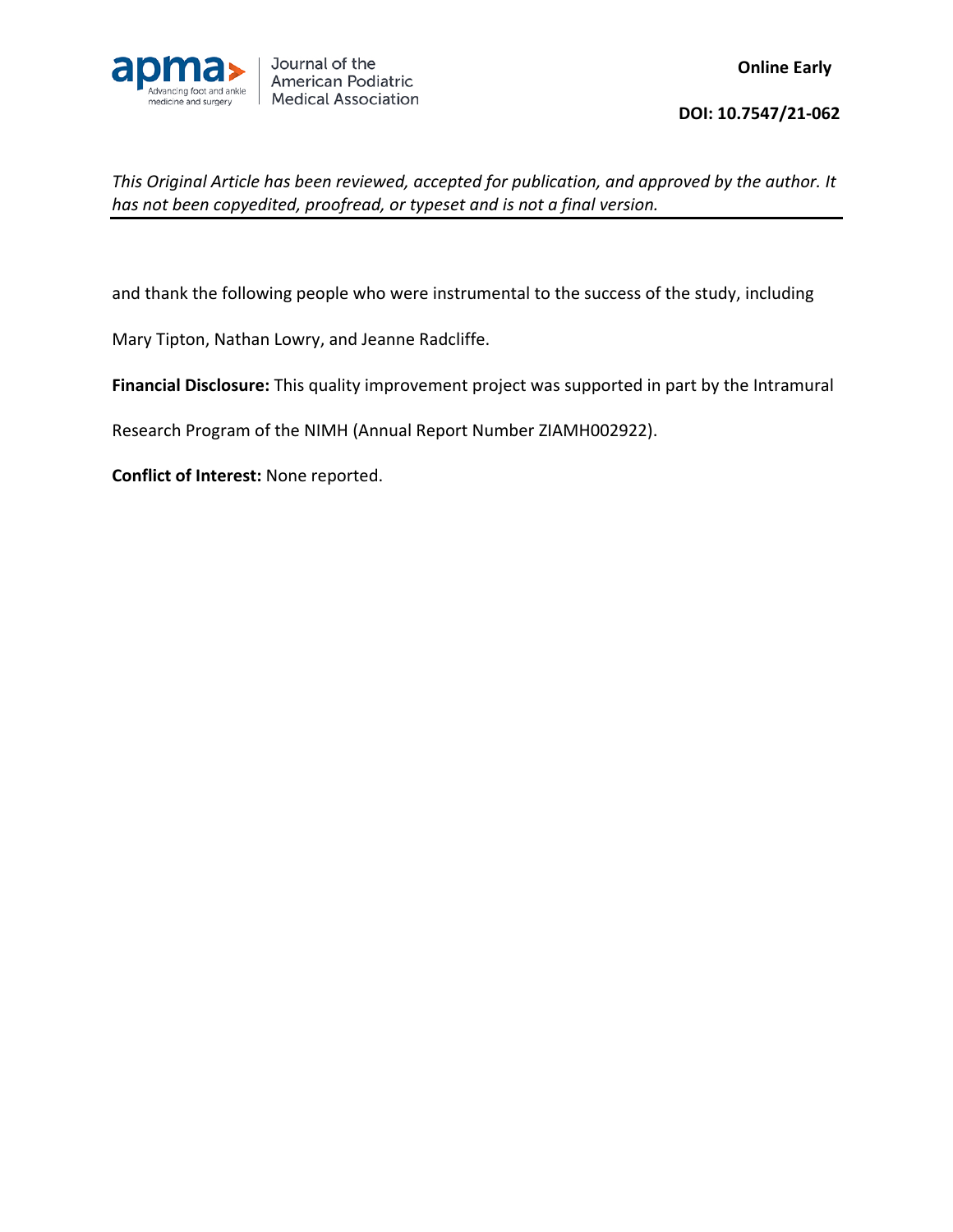

and thank the following people who were instrumental to the success of the study, including

Mary Tipton, Nathan Lowry, and Jeanne Radcliffe.

**Financial Disclosure:** This quality improvement project was supported in part by the Intramural

Research Program of the NIMH (Annual Report Number ZIAMH002922).

**Conflict of Interest:** None reported.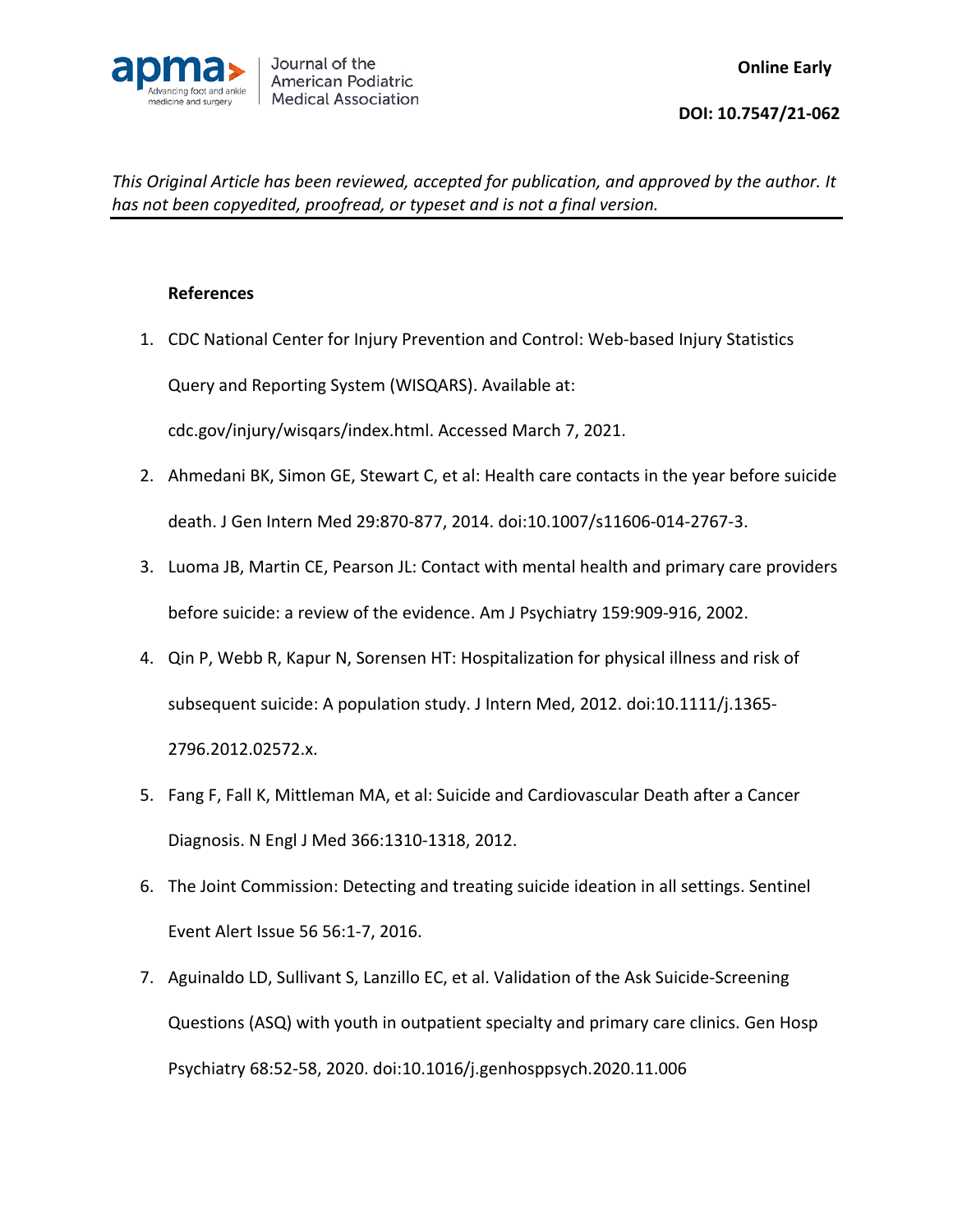

## **References**

1. CDC National Center for Injury Prevention and Control: Web-based Injury Statistics Query and Reporting System (WISQARS). Available at:

cdc.gov/injury/wisqars/index.html. Accessed March 7, 2021.

- 2. Ahmedani BK, Simon GE, Stewart C, et al: Health care contacts in the year before suicide death. J Gen Intern Med 29:870-877, 2014. doi:10.1007/s11606-014-2767-3.
- 3. Luoma JB, Martin CE, Pearson JL: Contact with mental health and primary care providers before suicide: a review of the evidence. Am J Psychiatry 159:909-916, 2002.
- 4. Qin P, Webb R, Kapur N, Sorensen HT: Hospitalization for physical illness and risk of subsequent suicide: A population study. J Intern Med, 2012. doi:10.1111/j.1365- 2796.2012.02572.x.
- 5. Fang F, Fall K, Mittleman MA, et al: Suicide and Cardiovascular Death after a Cancer Diagnosis. N Engl J Med 366:1310-1318, 2012.
- 6. The Joint Commission: Detecting and treating suicide ideation in all settings. Sentinel Event Alert Issue 56 56:1-7, 2016.
- 7. Aguinaldo LD, Sullivant S, Lanzillo EC, et al. Validation of the Ask Suicide-Screening Questions (ASQ) with youth in outpatient specialty and primary care clinics. Gen Hosp Psychiatry 68:52-58, 2020. doi:10.1016/j.genhosppsych.2020.11.006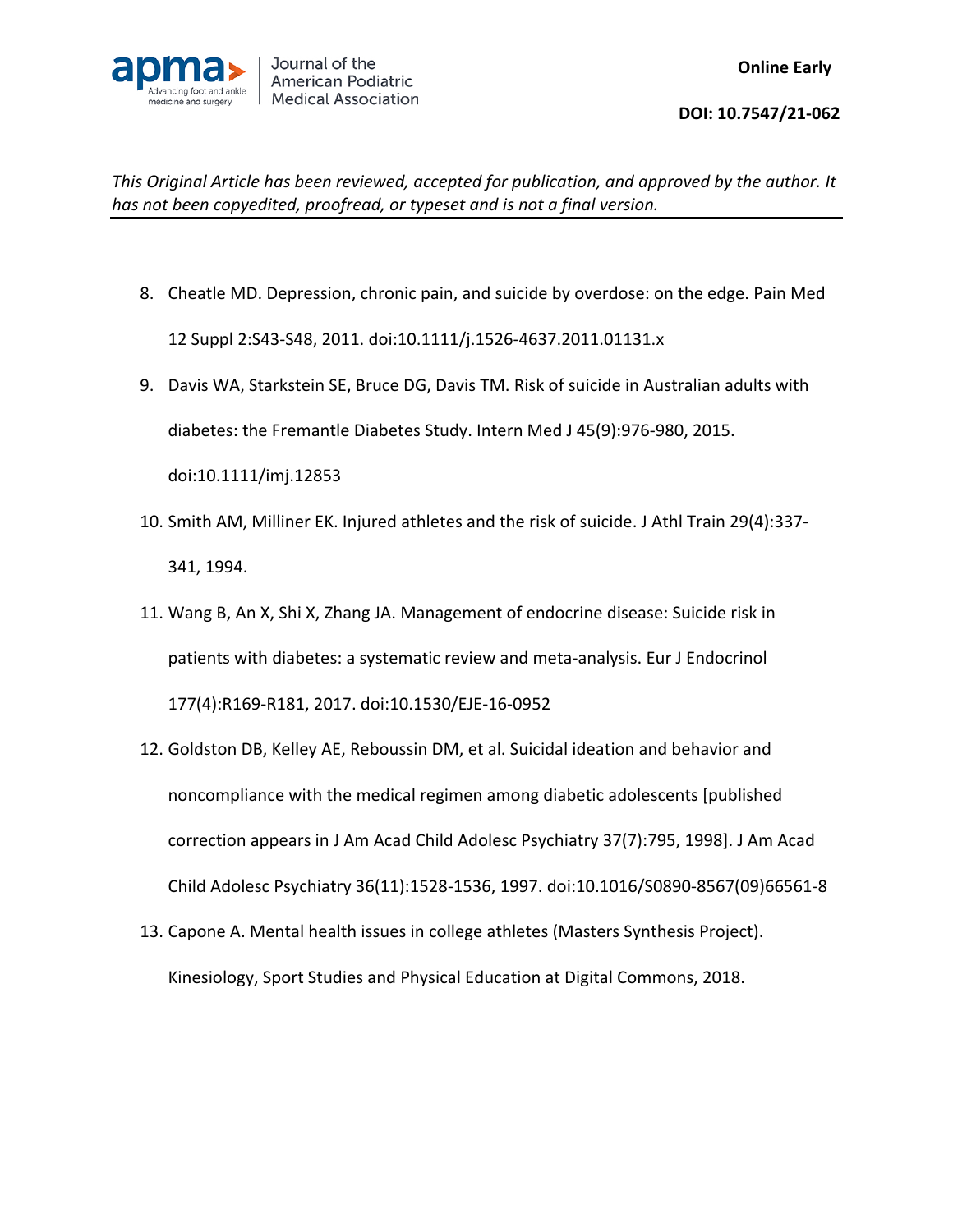

- 8. Cheatle MD. Depression, chronic pain, and suicide by overdose: on the edge. Pain Med 12 Suppl 2:S43-S48, 2011. doi:10.1111/j.1526-4637.2011.01131.x
- 9. Davis WA, Starkstein SE, Bruce DG, Davis TM. Risk of suicide in Australian adults with diabetes: the Fremantle Diabetes Study. Intern Med J 45(9):976-980, 2015. doi:10.1111/imj.12853
- 10. Smith AM, Milliner EK. Injured athletes and the risk of suicide. J Athl Train 29(4):337- 341, 1994.
- 11. Wang B, An X, Shi X, Zhang JA. Management of endocrine disease: Suicide risk in patients with diabetes: a systematic review and meta-analysis. Eur J Endocrinol 177(4):R169-R181, 2017. doi:10.1530/EJE-16-0952
- 12. Goldston DB, Kelley AE, Reboussin DM, et al. Suicidal ideation and behavior and noncompliance with the medical regimen among diabetic adolescents [published correction appears in J Am Acad Child Adolesc Psychiatry 37(7):795, 1998]. J Am Acad Child Adolesc Psychiatry 36(11):1528-1536, 1997. doi:10.1016/S0890-8567(09)66561-8
- 13. Capone A. Mental health issues in college athletes (Masters Synthesis Project). Kinesiology, Sport Studies and Physical Education at Digital Commons, 2018.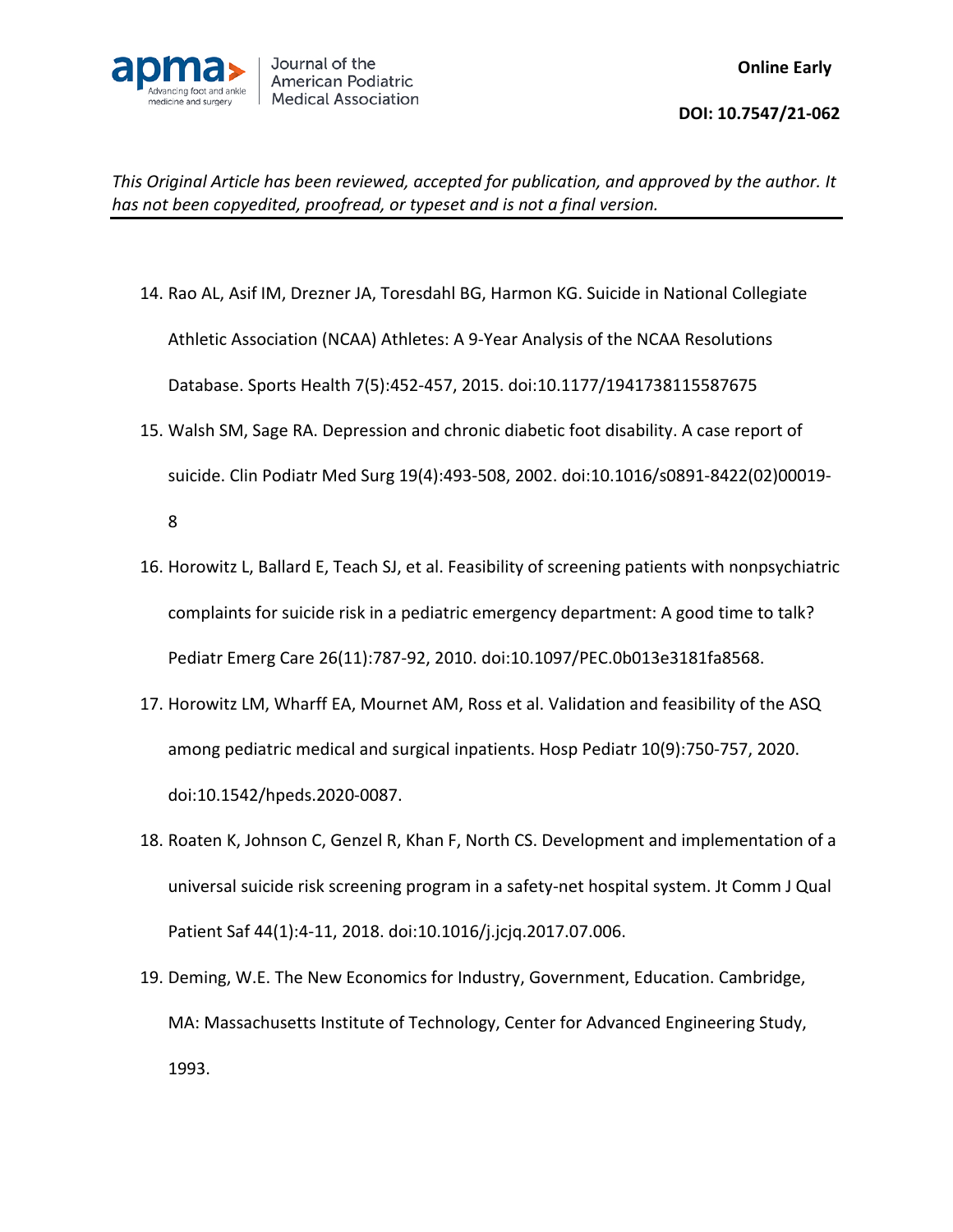

- 14. Rao AL, Asif IM, Drezner JA, Toresdahl BG, Harmon KG. Suicide in National Collegiate Athletic Association (NCAA) Athletes: A 9-Year Analysis of the NCAA Resolutions Database. Sports Health 7(5):452-457, 2015. doi:10.1177/1941738115587675
- 15. Walsh SM, Sage RA. Depression and chronic diabetic foot disability. A case report of suicide. Clin Podiatr Med Surg 19(4):493-508, 2002. doi:10.1016/s0891-8422(02)00019-

8

- 16. Horowitz L, Ballard E, Teach SJ, et al. Feasibility of screening patients with nonpsychiatric complaints for suicide risk in a pediatric emergency department: A good time to talk? Pediatr Emerg Care 26(11):787-92, 2010. doi:10.1097/PEC.0b013e3181fa8568.
- 17. Horowitz LM, Wharff EA, Mournet AM, Ross et al. Validation and feasibility of the ASQ among pediatric medical and surgical inpatients. Hosp Pediatr 10(9):750-757, 2020. doi:10.1542/hpeds.2020-0087.
- 18. Roaten K, Johnson C, Genzel R, Khan F, North CS. Development and implementation of a universal suicide risk screening program in a safety-net hospital system. Jt Comm J Qual Patient Saf 44(1):4-11, 2018. doi:10.1016/j.jcjq.2017.07.006.
- 19. Deming, W.E. The New Economics for Industry, Government, Education. Cambridge, MA: Massachusetts Institute of Technology, Center for Advanced Engineering Study, 1993.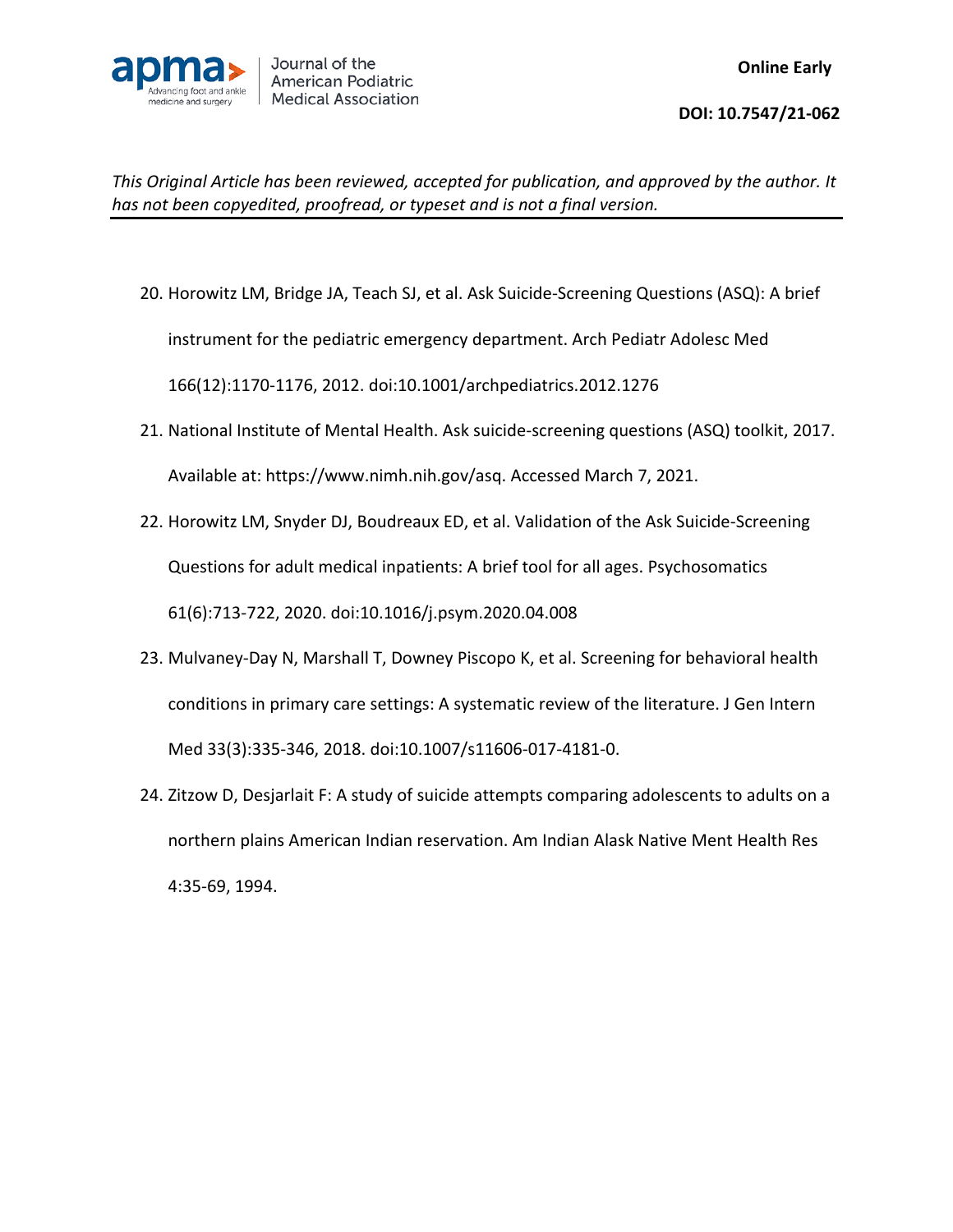

- 20. Horowitz LM, Bridge JA, Teach SJ, et al. Ask Suicide-Screening Questions (ASQ): A brief instrument for the pediatric emergency department. Arch Pediatr Adolesc Med 166(12):1170-1176, 2012. doi:10.1001/archpediatrics.2012.1276
- 21. National Institute of Mental Health. Ask suicide-screening questions (ASQ) toolkit, 2017. Available at: https://www.nimh.nih.gov/asq. Accessed March 7, 2021.
- 22. Horowitz LM, Snyder DJ, Boudreaux ED, et al. Validation of the Ask Suicide-Screening Questions for adult medical inpatients: A brief tool for all ages. Psychosomatics 61(6):713-722, 2020. doi:10.1016/j.psym.2020.04.008
- 23. Mulvaney-Day N, Marshall T, Downey Piscopo K, et al. Screening for behavioral health conditions in primary care settings: A systematic review of the literature. J Gen Intern Med 33(3):335-346, 2018. doi:10.1007/s11606-017-4181-0.
- 24. Zitzow D, Desjarlait F: A study of suicide attempts comparing adolescents to adults on a northern plains American Indian reservation. Am Indian Alask Native Ment Health Res 4:35-69, 1994.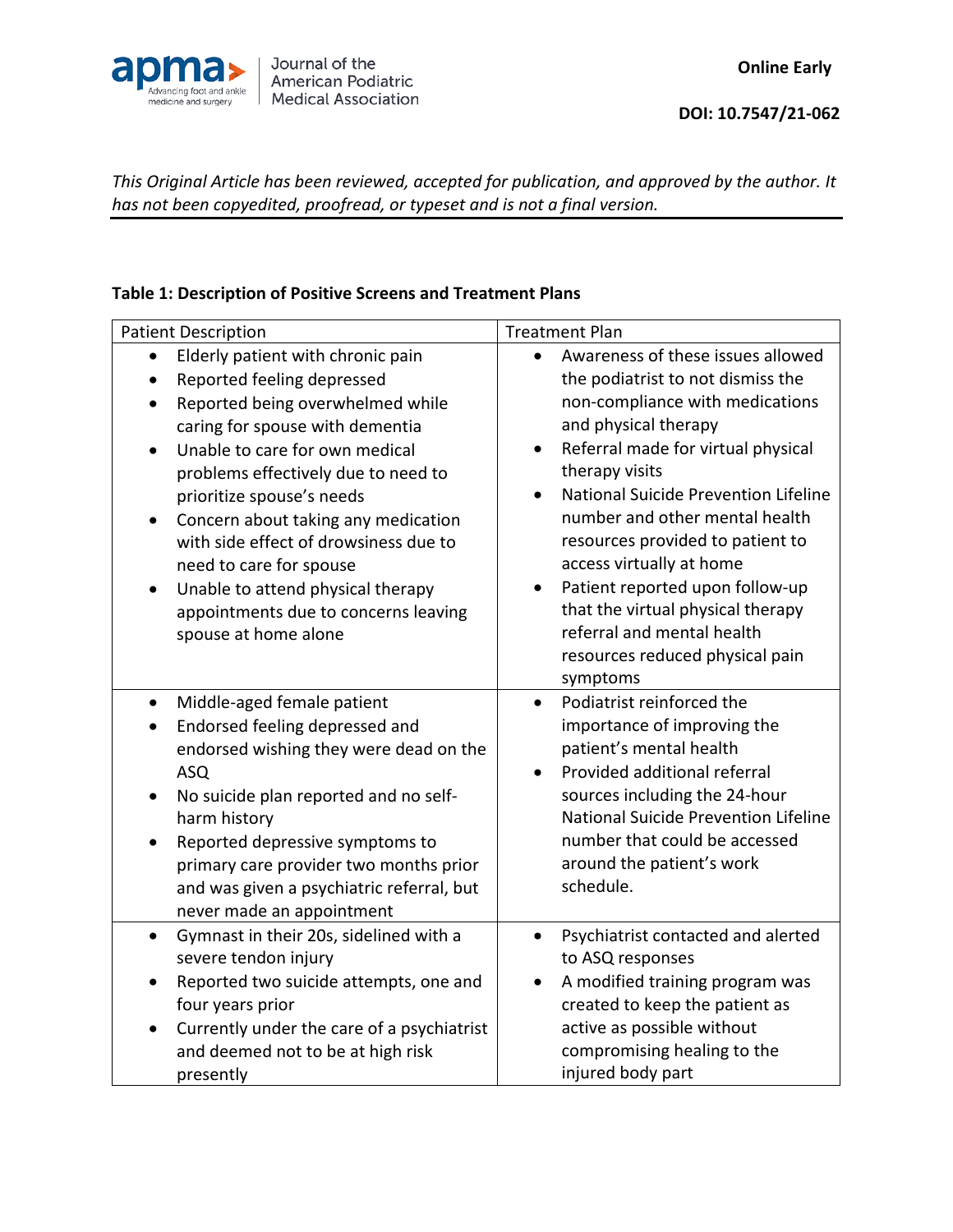

## **Table 1: Description of Positive Screens and Treatment Plans**

| <b>Patient Description</b>                                                                                                                                                                                                                                                                                                                                                                                                                                                                                                                 | <b>Treatment Plan</b>                                                                                                                                                                                                                                                                                                                                                                                                                                                                                                           |
|--------------------------------------------------------------------------------------------------------------------------------------------------------------------------------------------------------------------------------------------------------------------------------------------------------------------------------------------------------------------------------------------------------------------------------------------------------------------------------------------------------------------------------------------|---------------------------------------------------------------------------------------------------------------------------------------------------------------------------------------------------------------------------------------------------------------------------------------------------------------------------------------------------------------------------------------------------------------------------------------------------------------------------------------------------------------------------------|
| Elderly patient with chronic pain<br>$\bullet$<br>Reported feeling depressed<br>$\bullet$<br>Reported being overwhelmed while<br>$\bullet$<br>caring for spouse with dementia<br>Unable to care for own medical<br>$\bullet$<br>problems effectively due to need to<br>prioritize spouse's needs<br>Concern about taking any medication<br>$\bullet$<br>with side effect of drowsiness due to<br>need to care for spouse<br>Unable to attend physical therapy<br>$\bullet$<br>appointments due to concerns leaving<br>spouse at home alone | Awareness of these issues allowed<br>$\bullet$<br>the podiatrist to not dismiss the<br>non-compliance with medications<br>and physical therapy<br>Referral made for virtual physical<br>$\bullet$<br>therapy visits<br>National Suicide Prevention Lifeline<br>$\bullet$<br>number and other mental health<br>resources provided to patient to<br>access virtually at home<br>Patient reported upon follow-up<br>that the virtual physical therapy<br>referral and mental health<br>resources reduced physical pain<br>symptoms |
| Middle-aged female patient<br>$\bullet$<br>Endorsed feeling depressed and<br>endorsed wishing they were dead on the<br><b>ASQ</b><br>No suicide plan reported and no self-<br>٠<br>harm history<br>Reported depressive symptoms to<br>$\bullet$<br>primary care provider two months prior<br>and was given a psychiatric referral, but<br>never made an appointment                                                                                                                                                                        | Podiatrist reinforced the<br>$\bullet$<br>importance of improving the<br>patient's mental health<br>Provided additional referral<br>$\bullet$<br>sources including the 24-hour<br>National Suicide Prevention Lifeline<br>number that could be accessed<br>around the patient's work<br>schedule.                                                                                                                                                                                                                               |
| Gymnast in their 20s, sidelined with a<br>$\bullet$<br>severe tendon injury<br>Reported two suicide attempts, one and<br>four years prior<br>Currently under the care of a psychiatrist<br>$\bullet$<br>and deemed not to be at high risk<br>presently                                                                                                                                                                                                                                                                                     | Psychiatrist contacted and alerted<br>$\bullet$<br>to ASQ responses<br>A modified training program was<br>$\bullet$<br>created to keep the patient as<br>active as possible without<br>compromising healing to the<br>injured body part                                                                                                                                                                                                                                                                                         |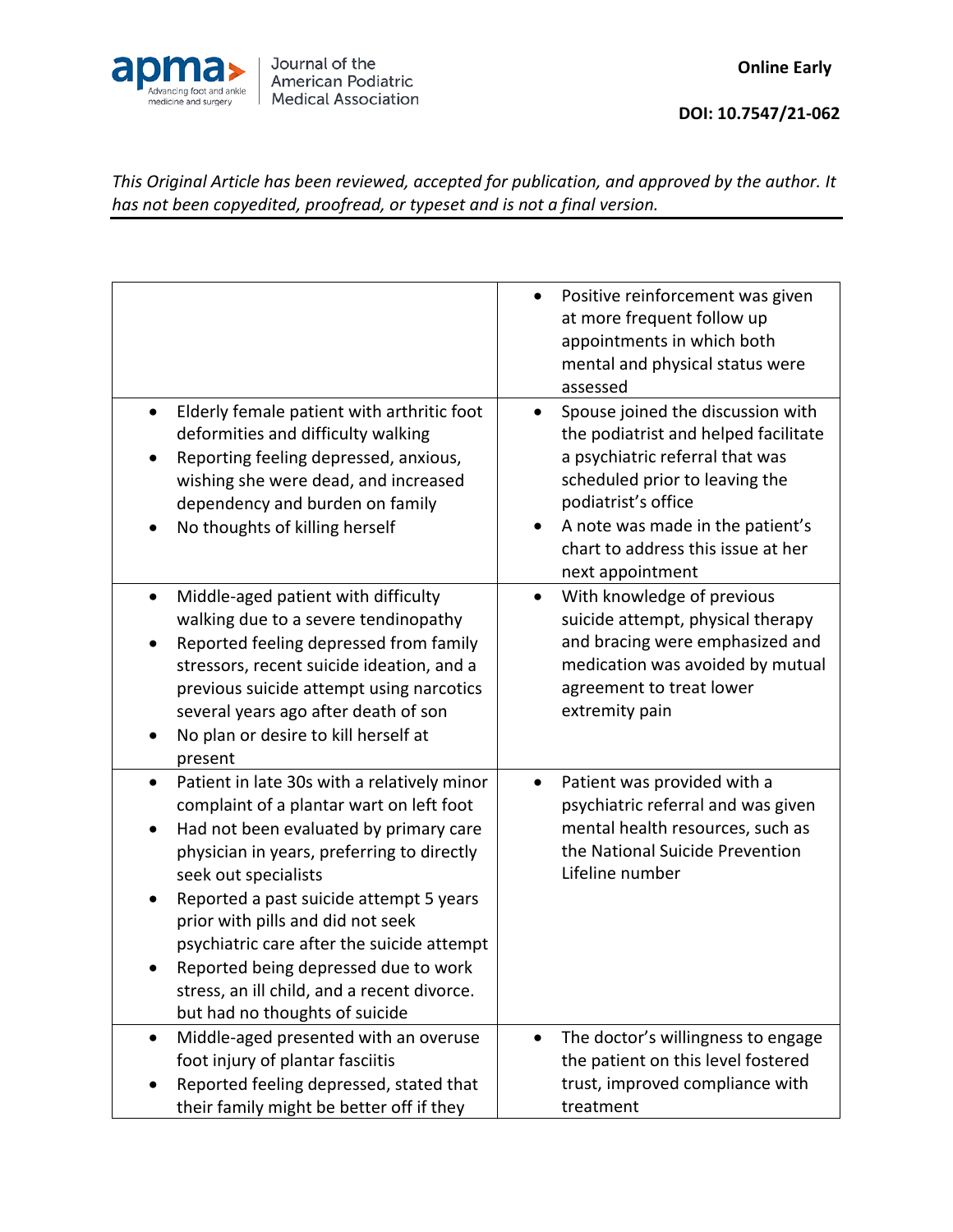

|                                                                                                                                                                                                                                                                                                                                                                                                                                                                             | Positive reinforcement was given<br>at more frequent follow up<br>appointments in which both<br>mental and physical status were<br>assessed                                                                                                                         |
|-----------------------------------------------------------------------------------------------------------------------------------------------------------------------------------------------------------------------------------------------------------------------------------------------------------------------------------------------------------------------------------------------------------------------------------------------------------------------------|---------------------------------------------------------------------------------------------------------------------------------------------------------------------------------------------------------------------------------------------------------------------|
| Elderly female patient with arthritic foot<br>$\bullet$<br>deformities and difficulty walking<br>Reporting feeling depressed, anxious,<br>wishing she were dead, and increased<br>dependency and burden on family<br>No thoughts of killing herself                                                                                                                                                                                                                         | Spouse joined the discussion with<br>the podiatrist and helped facilitate<br>a psychiatric referral that was<br>scheduled prior to leaving the<br>podiatrist's office<br>A note was made in the patient's<br>chart to address this issue at her<br>next appointment |
| Middle-aged patient with difficulty<br>walking due to a severe tendinopathy<br>Reported feeling depressed from family<br>stressors, recent suicide ideation, and a<br>previous suicide attempt using narcotics<br>several years ago after death of son<br>No plan or desire to kill herself at<br>present                                                                                                                                                                   | With knowledge of previous<br>suicide attempt, physical therapy<br>and bracing were emphasized and<br>medication was avoided by mutual<br>agreement to treat lower<br>extremity pain                                                                                |
| Patient in late 30s with a relatively minor<br>$\bullet$<br>complaint of a plantar wart on left foot<br>Had not been evaluated by primary care<br>physician in years, preferring to directly<br>seek out specialists<br>Reported a past suicide attempt 5 years<br>prior with pills and did not seek<br>psychiatric care after the suicide attempt<br>Reported being depressed due to work<br>stress, an ill child, and a recent divorce.<br>but had no thoughts of suicide | Patient was provided with a<br>psychiatric referral and was given<br>mental health resources, such as<br>the National Suicide Prevention<br>Lifeline number                                                                                                         |
| Middle-aged presented with an overuse<br>foot injury of plantar fasciitis<br>Reported feeling depressed, stated that<br>their family might be better off if they                                                                                                                                                                                                                                                                                                            | The doctor's willingness to engage<br>the patient on this level fostered<br>trust, improved compliance with<br>treatment                                                                                                                                            |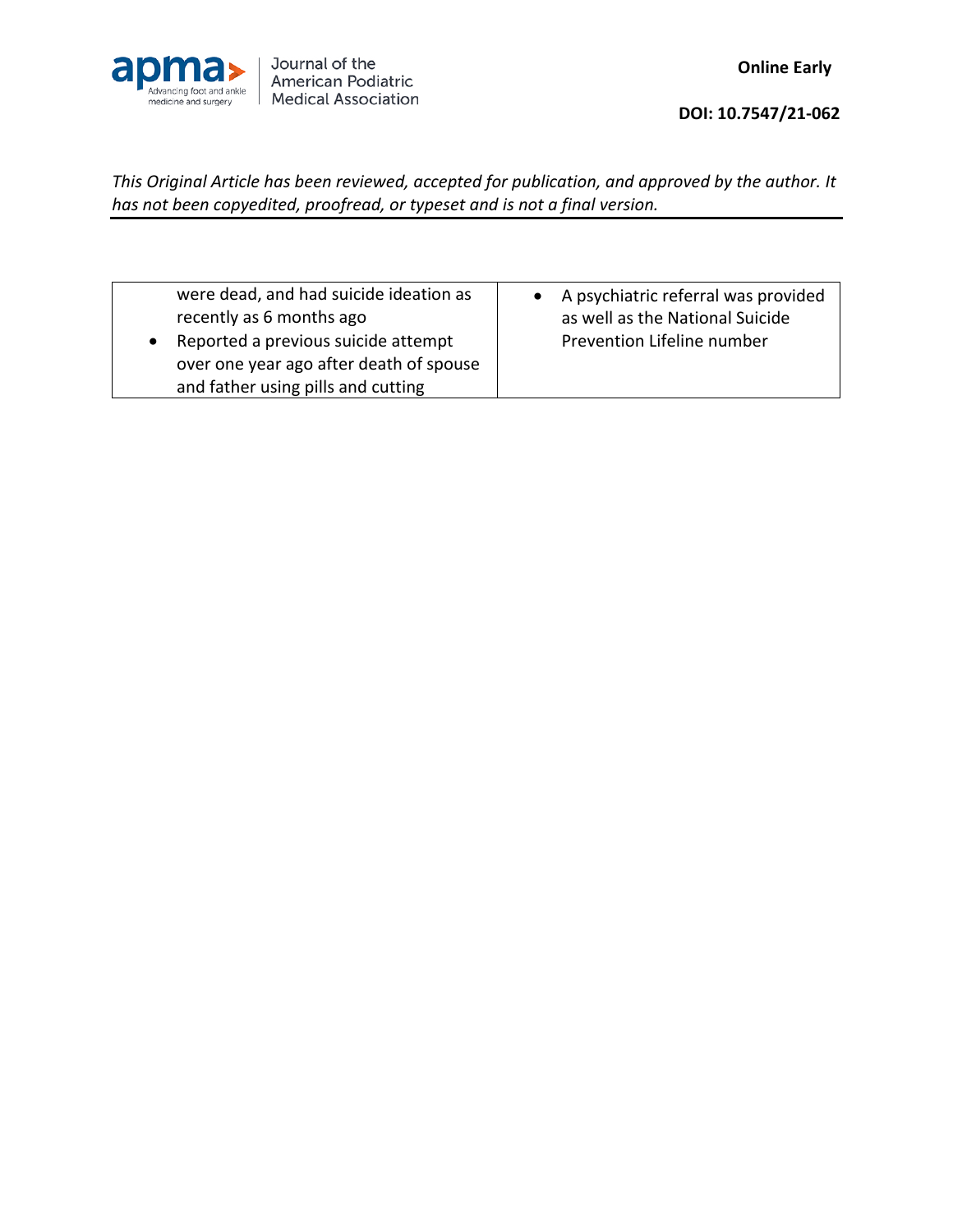

| were dead, and had suicide ideation as  | A psychiatric referral was provided |
|-----------------------------------------|-------------------------------------|
| recently as 6 months ago                | as well as the National Suicide     |
| Reported a previous suicide attempt     | Prevention Lifeline number          |
| over one year ago after death of spouse |                                     |
| and father using pills and cutting      |                                     |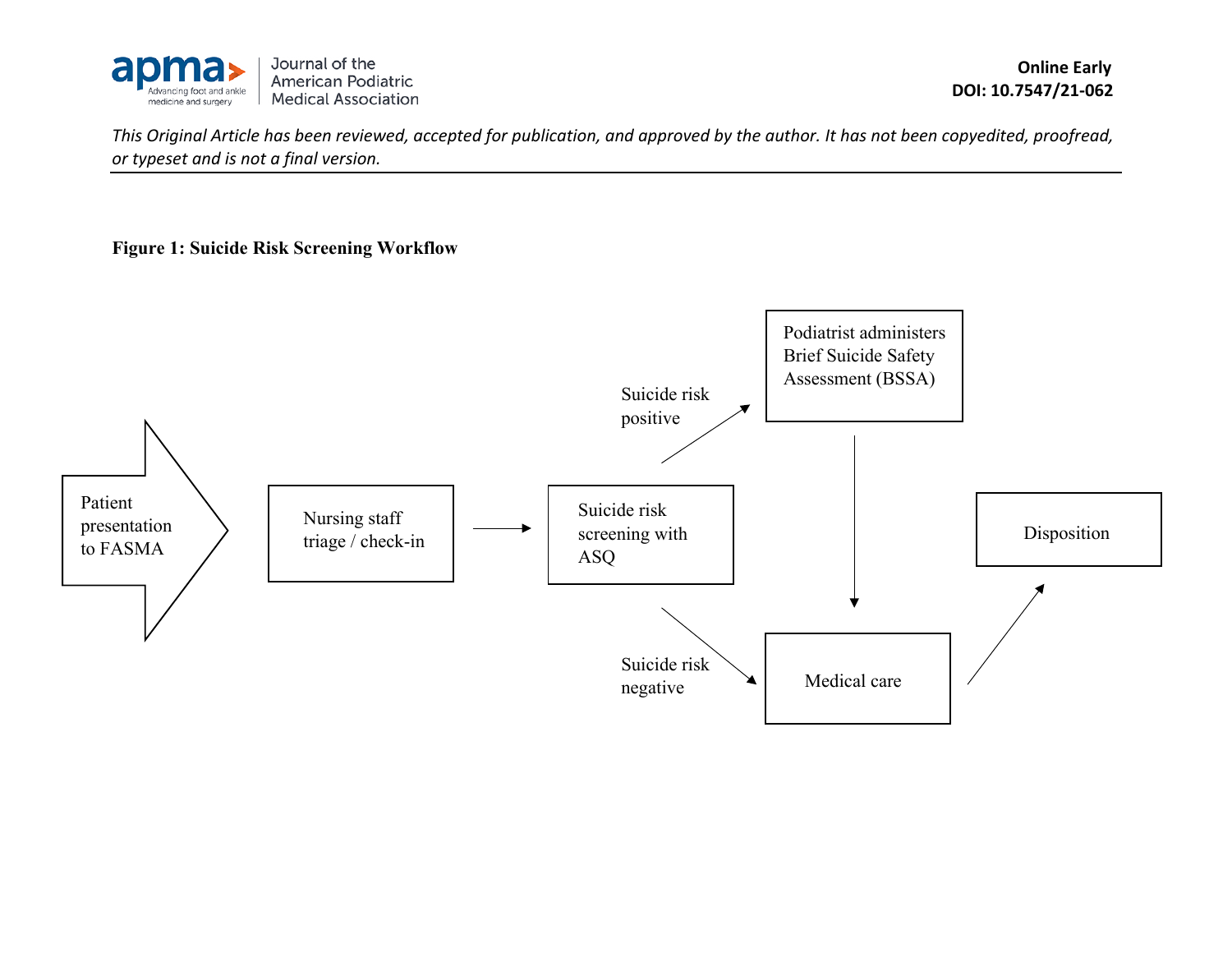

**Figure 1: Suicide Risk Screening Workflow**